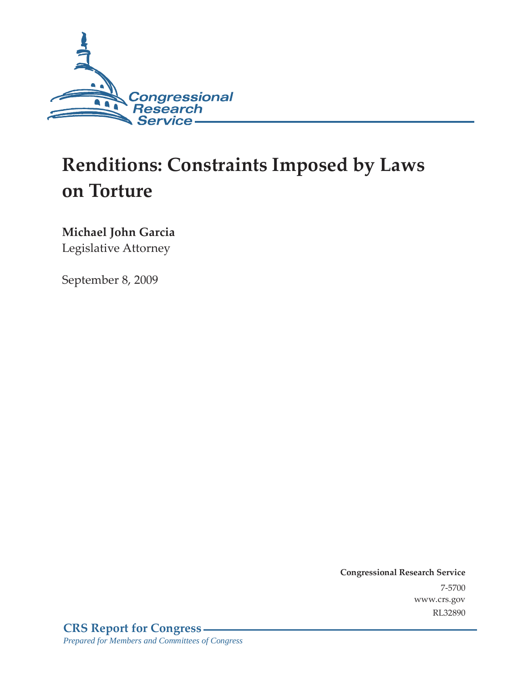

# **Renditions: Constraints Imposed by Laws on Torture**

### **Michael John Garcia**

Legislative Attorney

September 8, 2009

**Congressional Research Service** 7-5700 www.crs.gov RL32890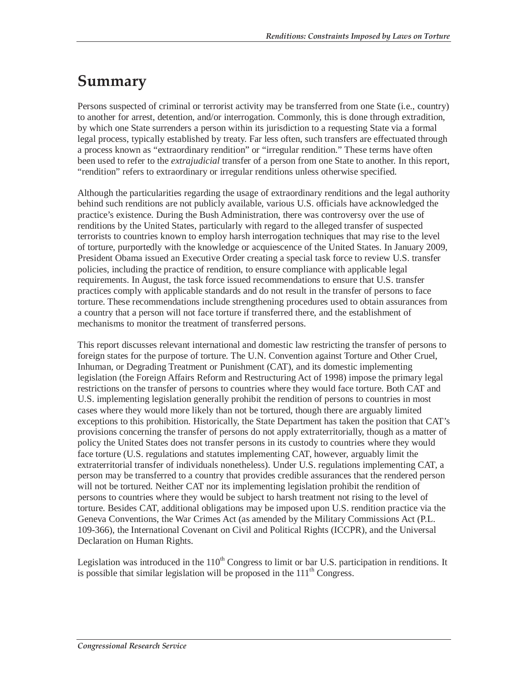## **Summary**

Persons suspected of criminal or terrorist activity may be transferred from one State (i.e., country) to another for arrest, detention, and/or interrogation. Commonly, this is done through extradition, by which one State surrenders a person within its jurisdiction to a requesting State via a formal legal process, typically established by treaty. Far less often, such transfers are effectuated through a process known as "extraordinary rendition" or "irregular rendition." These terms have often been used to refer to the *extrajudicial* transfer of a person from one State to another. In this report, "rendition" refers to extraordinary or irregular renditions unless otherwise specified.

Although the particularities regarding the usage of extraordinary renditions and the legal authority behind such renditions are not publicly available, various U.S. officials have acknowledged the practice's existence. During the Bush Administration, there was controversy over the use of renditions by the United States, particularly with regard to the alleged transfer of suspected terrorists to countries known to employ harsh interrogation techniques that may rise to the level of torture, purportedly with the knowledge or acquiescence of the United States. In January 2009, President Obama issued an Executive Order creating a special task force to review U.S. transfer policies, including the practice of rendition, to ensure compliance with applicable legal requirements. In August, the task force issued recommendations to ensure that U.S. transfer practices comply with applicable standards and do not result in the transfer of persons to face torture. These recommendations include strengthening procedures used to obtain assurances from a country that a person will not face torture if transferred there, and the establishment of mechanisms to monitor the treatment of transferred persons.

This report discusses relevant international and domestic law restricting the transfer of persons to foreign states for the purpose of torture. The U.N. Convention against Torture and Other Cruel, Inhuman, or Degrading Treatment or Punishment (CAT), and its domestic implementing legislation (the Foreign Affairs Reform and Restructuring Act of 1998) impose the primary legal restrictions on the transfer of persons to countries where they would face torture. Both CAT and U.S. implementing legislation generally prohibit the rendition of persons to countries in most cases where they would more likely than not be tortured, though there are arguably limited exceptions to this prohibition. Historically, the State Department has taken the position that CAT's provisions concerning the transfer of persons do not apply extraterritorially, though as a matter of policy the United States does not transfer persons in its custody to countries where they would face torture (U.S. regulations and statutes implementing CAT, however, arguably limit the extraterritorial transfer of individuals nonetheless). Under U.S. regulations implementing CAT, a person may be transferred to a country that provides credible assurances that the rendered person will not be tortured. Neither CAT nor its implementing legislation prohibit the rendition of persons to countries where they would be subject to harsh treatment not rising to the level of torture. Besides CAT, additional obligations may be imposed upon U.S. rendition practice via the Geneva Conventions, the War Crimes Act (as amended by the Military Commissions Act (P.L. 109-366), the International Covenant on Civil and Political Rights (ICCPR), and the Universal Declaration on Human Rights.

Legislation was introduced in the  $110<sup>th</sup>$  Congress to limit or bar U.S. participation in renditions. It is possible that similar legislation will be proposed in the  $111<sup>th</sup>$  Congress.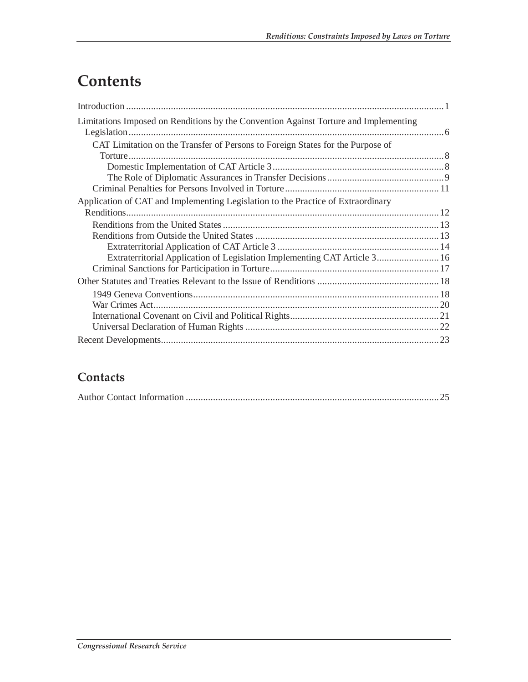## **Contents**

| Limitations Imposed on Renditions by the Convention Against Torture and Implementing |  |
|--------------------------------------------------------------------------------------|--|
| CAT Limitation on the Transfer of Persons to Foreign States for the Purpose of       |  |
|                                                                                      |  |
|                                                                                      |  |
|                                                                                      |  |
|                                                                                      |  |
| Application of CAT and Implementing Legislation to the Practice of Extraordinary     |  |
|                                                                                      |  |
|                                                                                      |  |
|                                                                                      |  |
|                                                                                      |  |
| Extraterritorial Application of Legislation Implementing CAT Article 3 16            |  |
|                                                                                      |  |
|                                                                                      |  |
|                                                                                      |  |
|                                                                                      |  |
|                                                                                      |  |
|                                                                                      |  |
|                                                                                      |  |

### **Contacts**

|--|--|--|--|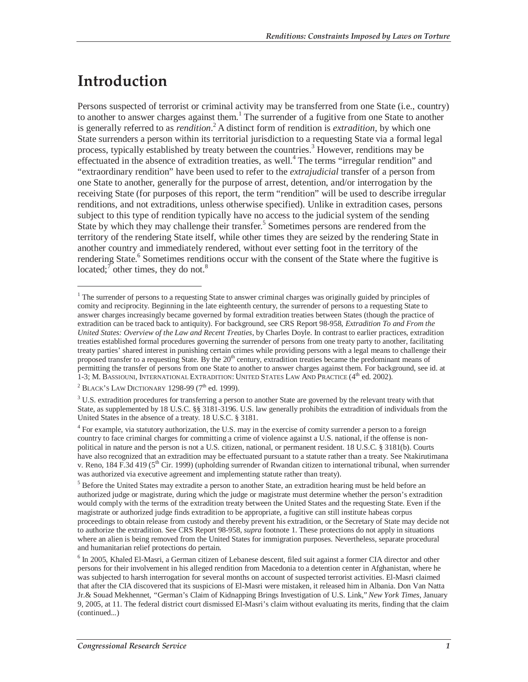## **Introduction**

<u>.</u>

Persons suspected of terrorist or criminal activity may be transferred from one State (i.e., country) to another to answer charges against them.<sup>1</sup> The surrender of a fugitive from one State to another is generally referred to as *rendition*.<sup>2</sup> A distinct form of rendition is *extradition*, by which one State surrenders a person within its territorial jurisdiction to a requesting State via a formal legal process, typically established by treaty between the countries.<sup>3</sup> However, renditions may be effectuated in the absence of extradition treaties, as well.<sup>4</sup> The terms "irregular rendition" and "extraordinary rendition" have been used to refer to the *extrajudicial* transfer of a person from one State to another, generally for the purpose of arrest, detention, and/or interrogation by the receiving State (for purposes of this report, the term "rendition" will be used to describe irregular renditions, and not extraditions, unless otherwise specified). Unlike in extradition cases, persons subject to this type of rendition typically have no access to the judicial system of the sending State by which they may challenge their transfer.<sup>5</sup> Sometimes persons are rendered from the territory of the rendering State itself, while other times they are seized by the rendering State in another country and immediately rendered, without ever setting foot in the territory of the rendering State.<sup>6</sup> Sometimes renditions occur with the consent of the State where the fugitive is located;<sup> $\tau$ </sup> other times, they do not.<sup>8</sup>

<sup>&</sup>lt;sup>1</sup> The surrender of persons to a requesting State to answer criminal charges was originally guided by principles of comity and reciprocity. Beginning in the late eighteenth century, the surrender of persons to a requesting State to answer charges increasingly became governed by formal extradition treaties between States (though the practice of extradition can be traced back to antiquity). For background, see CRS Report 98-958, *Extradition To and From the United States: Overview of the Law and Recent Treaties*, by Charles Doyle. In contrast to earlier practices, extradition treaties established formal procedures governing the surrender of persons from one treaty party to another, facilitating treaty parties' shared interest in punishing certain crimes while providing persons with a legal means to challenge their proposed transfer to a requesting State. By the 20<sup>th</sup> century, extradition treaties became the predominant means of permitting the transfer of persons from one State to another to answer charges against them. For background, see id. at 1-3; M. BASSIOUNI, INTERNATIONAL EXTRADITION: UNITED STATES LAW AND PRACTICE (4<sup>th</sup> ed. 2002).

 $^{2}$  BLACK's LAW DICTIONARY 1298-99 (7<sup>th</sup> ed. 1999).

 $3$  U.S. extradition procedures for transferring a person to another State are governed by the relevant treaty with that State, as supplemented by 18 U.S.C. §§ 3181-3196. U.S. law generally prohibits the extradition of individuals from the United States in the absence of a treaty. 18 U.S.C. § 3181.

<sup>4</sup> For example, via statutory authorization, the U.S. may in the exercise of comity surrender a person to a foreign country to face criminal charges for committing a crime of violence against a U.S. national, if the offense is nonpolitical in nature and the person is not a U.S. citizen, national, or permanent resident. 18 U.S.C. § 3181(b). Courts have also recognized that an extradition may be effectuated pursuant to a statute rather than a treaty. See Ntakirutimana v. Reno, 184 F.3d 419 ( $5<sup>th</sup>$  Cir. 1999) (upholding surrender of Rwandan citizen to international tribunal, when surrender was authorized via executive agreement and implementing statute rather than treaty).

<sup>&</sup>lt;sup>5</sup> Before the United States may extradite a person to another State, an extradition hearing must be held before an authorized judge or magistrate, during which the judge or magistrate must determine whether the person's extradition would comply with the terms of the extradition treaty between the United States and the requesting State. Even if the magistrate or authorized judge finds extradition to be appropriate, a fugitive can still institute habeas corpus proceedings to obtain release from custody and thereby prevent his extradition, or the Secretary of State may decide not to authorize the extradition. See CRS Report 98-958, *supra* footnote 1. These protections do not apply in situations where an alien is being removed from the United States for immigration purposes. Nevertheless, separate procedural and humanitarian relief protections do pertain.

<sup>&</sup>lt;sup>6</sup> In 2005, Khaled El-Masri, a German citizen of Lebanese descent, filed suit against a former CIA director and other persons for their involvement in his alleged rendition from Macedonia to a detention center in Afghanistan, where he was subjected to harsh interrogation for several months on account of suspected terrorist activities. El-Masri claimed that after the CIA discovered that its suspicions of El-Masri were mistaken, it released him in Albania. Don Van Natta Jr.& Souad Mekhennet, *"*German's Claim of Kidnapping Brings Investigation of U.S. Link," *New York Times*, January 9, 2005, at 11. The federal district court dismissed El-Masri's claim without evaluating its merits, finding that the claim (continued...)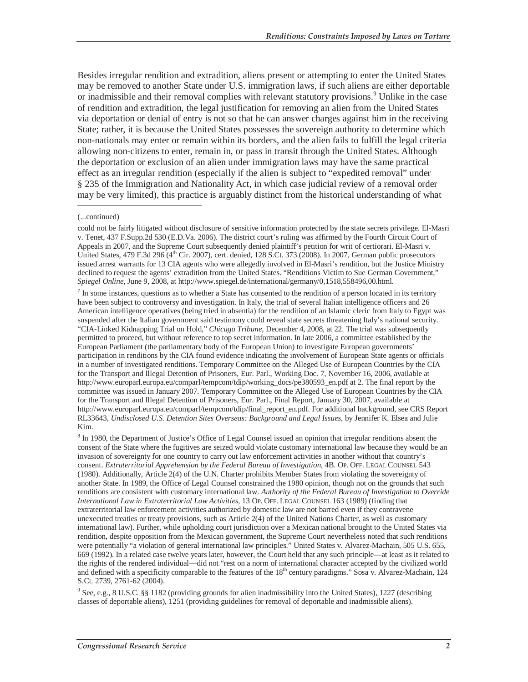Besides irregular rendition and extradition, aliens present or attempting to enter the United States may be removed to another State under U.S. immigration laws, if such aliens are either deportable or inadmissible and their removal complies with relevant statutory provisions.<sup>9</sup> Unlike in the case of rendition and extradition, the legal justification for removing an alien from the United States via deportation or denial of entry is not so that he can answer charges against him in the receiving State; rather, it is because the United States possesses the sovereign authority to determine which non-nationals may enter or remain within its borders, and the alien fails to fulfill the legal criteria allowing non-citizens to enter, remain in, or pass in transit through the United States. Although the deportation or exclusion of an alien under immigration laws may have the same practical effect as an irregular rendition (especially if the alien is subject to "expedited removal" under § 235 of the Immigration and Nationality Act, in which case judicial review of a removal order may be very limited), this practice is arguably distinct from the historical understanding of what

-

 $<sup>7</sup>$  In some instances, questions as to whether a State has consented to the rendition of a person located in its territory</sup> have been subject to controversy and investigation. In Italy, the trial of several Italian intelligence officers and 26 American intelligence operatives (being tried in absentia) for the rendition of an Islamic cleric from Italy to Egypt was suspended after the Italian government said testimony could reveal state secrets threatening Italy's national security. "CIA-Linked Kidnapping Trial on Hold," *Chicago Tribune*, December 4, 2008, at 22. The trial was subsequently permitted to proceed, but without reference to top secret information. In late 2006, a committee established by the European Parliament (the parliamentary body of the European Union) to investigate European governments' participation in renditions by the CIA found evidence indicating the involvement of European State agents or officials in a number of investigated renditions. Temporary Committee on the Alleged Use of European Countries by the CIA for the Transport and Illegal Detention of Prisoners, Eur. Parl., Working Doc. 7, November 16, 2006, available at http://www.europarl.europa.eu/comparl/tempcom/tdip/working\_docs/pe380593\_en.pdf at 2. The final report by the committee was issued in January 2007. Temporary Committee on the Alleged Use of European Countries by the CIA for the Transport and Illegal Detention of Prisoners, Eur. Parl., Final Report, January 30, 2007, available at http://www.europarl.europa.eu/comparl/tempcom/tdip/final\_report\_en.pdf. For additional background, see CRS Report RL33643, *Undisclosed U.S. Detention Sites Overseas: Background and Legal Issues*, by Jennifer K. Elsea and Julie Kim.

<sup>8</sup> In 1980, the Department of Justice's Office of Legal Counsel issued an opinion that irregular renditions absent the consent of the State where the fugitives are seized would violate customary international law because they would be an invasion of sovereignty for one country to carry out law enforcement activities in another without that country's consent. *Extraterritorial Apprehension by the Federal Bureau of Investigation*, 4B. OP. OFF. LEGAL COUNSEL 543 (1980). Additionally, Article 2(4) of the U.N. Charter prohibits Member States from violating the sovereignty of another State. In 1989, the Office of Legal Counsel constrained the 1980 opinion, though not on the grounds that such renditions are consistent with customary international law. *Authority of the Federal Bureau of Investigation to Override International Law in Extraterritorial Law Activities*, 13 OP. OFF. LEGAL COUNSEL 163 (1989) (finding that extraterritorial law enforcement activities authorized by domestic law are not barred even if they contravene unexecuted treaties or treaty provisions, such as Article 2(4) of the United Nations Charter, as well as customary international law). Further, while upholding court jurisdiction over a Mexican national brought to the United States via rendition, despite opposition from the Mexican government, the Supreme Court nevertheless noted that such renditions were potentially "a violation of general international law principles." United States v. Alvarez-Machain, 505 U.S. 655, 669 (1992). In a related case twelve years later, however, the Court held that any such principle—at least as it related to the rights of the rendered individual—did not "rest on a norm of international character accepted by the civilized world and defined with a specificity comparable to the features of the  $18<sup>th</sup>$  century paradigms." Sosa v. Alvarez-Machain, 124 S.Ct. 2739, 2761-62 (2004).

<sup>9</sup> See, e.g., 8 U.S.C. §§ 1182 (providing grounds for alien inadmissibility into the United States), 1227 (describing classes of deportable aliens), 1251 (providing guidelines for removal of deportable and inadmissible aliens).

<sup>(...</sup>continued)

could not be fairly litigated without disclosure of sensitive information protected by the state secrets privilege. El-Masri v. Tenet, 437 F.Supp.2d 530 (E.D.Va. 2006). The district court's ruling was affirmed by the Fourth Circuit Court of Appeals in 2007, and the Supreme Court subsequently denied plaintiff's petition for writ of certiorari. El-Masri v. United States, 479 F.3d 296 ( $4<sup>th</sup>$  Cir. 2007), cert. denied, 128 S.Ct. 373 (2008). In 2007, German public prosecutors issued arrest warrants for 13 CIA agents who were allegedly involved in El-Masri's rendition, but the Justice Ministry declined to request the agents' extradition from the United States. "Renditions Victim to Sue German Government," *Spiegel Online*, June 9, 2008, at http://www.spiegel.de/international/germany/0,1518,558496,00.html.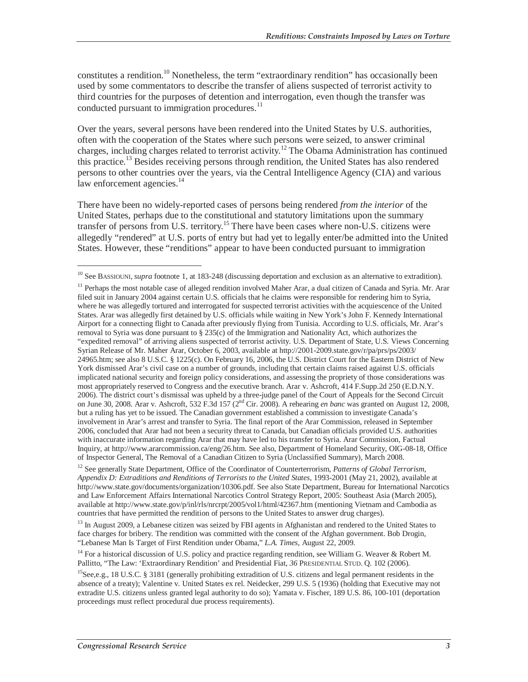constitutes a rendition.<sup>10</sup> Nonetheless, the term "extraordinary rendition" has occasionally been used by some commentators to describe the transfer of aliens suspected of terrorist activity to third countries for the purposes of detention and interrogation, even though the transfer was conducted pursuant to immigration procedures.<sup>11</sup>

Over the years, several persons have been rendered into the United States by U.S. authorities, often with the cooperation of the States where such persons were seized, to answer criminal charges, including charges related to terrorist activity.12 The Obama Administration has continued this practice.13 Besides receiving persons through rendition, the United States has also rendered persons to other countries over the years, via the Central Intelligence Agency (CIA) and various law enforcement agencies.<sup>14</sup>

There have been no widely-reported cases of persons being rendered *from the interior* of the United States, perhaps due to the constitutional and statutory limitations upon the summary transfer of persons from U.S. territory.15 There have been cases where non-U.S. citizens were allegedly "rendered" at U.S. ports of entry but had yet to legally enter/be admitted into the United States. However, these "renditions" appear to have been conducted pursuant to immigration

<sup>&</sup>lt;sup>10</sup> See BASSIOUNI, *supra* footnote 1, at 183-248 (discussing deportation and exclusion as an alternative to extradition).

<sup>&</sup>lt;sup>11</sup> Perhaps the most notable case of alleged rendition involved Maher Arar, a dual citizen of Canada and Syria. Mr. Arar filed suit in January 2004 against certain U.S. officials that he claims were responsible for rendering him to Syria, where he was allegedly tortured and interrogated for suspected terrorist activities with the acquiescence of the United States. Arar was allegedly first detained by U.S. officials while waiting in New York's John F. Kennedy International Airport for a connecting flight to Canada after previously flying from Tunisia. According to U.S. officials, Mr. Arar's removal to Syria was done pursuant to § 235(c) of the Immigration and Nationality Act, which authorizes the "expedited removal" of arriving aliens suspected of terrorist activity. U.S. Department of State, U.S. Views Concerning Syrian Release of Mr. Maher Arar, October 6, 2003, available at http://2001-2009.state.gov/r/pa/prs/ps/2003/ 24965.htm; see also 8 U.S.C. § 1225(c). On February 16, 2006, the U.S. District Court for the Eastern District of New York dismissed Arar's civil case on a number of grounds, including that certain claims raised against U.S. officials implicated national security and foreign policy considerations, and assessing the propriety of those considerations was most appropriately reserved to Congress and the executive branch. Arar v. Ashcroft, 414 F.Supp.2d 250 (E.D.N.Y. 2006). The district court's dismissal was upheld by a three-judge panel of the Court of Appeals for the Second Circuit on June 30, 2008. Arar v. Ashcroft, 532 F.3d 157 (2nd Cir. 2008). A rehearing *en banc* was granted on August 12, 2008, but a ruling has yet to be issued. The Canadian government established a commission to investigate Canada's involvement in Arar's arrest and transfer to Syria. The final report of the Arar Commission, released in September 2006, concluded that Arar had not been a security threat to Canada, but Canadian officials provided U.S. authorities with inaccurate information regarding Arar that may have led to his transfer to Syria. Arar Commission, Factual Inquiry, at http://www.ararcommission.ca/eng/26.htm. See also, Department of Homeland Security, OIG-08-18, Office of Inspector General, The Removal of a Canadian Citizen to Syria (Unclassified Summary), March 2008.

<sup>&</sup>lt;sup>12</sup> See generally State Department, Office of the Coordinator of Counterterrorism, *Patterns of Global Terrorism*, *Appendix D: Extraditions and Renditions of Terrorists to the United States*, 1993-2001 (May 21, 2002), available at http://www.state.gov/documents/organization/10306.pdf. See also State Department, Bureau for International Narcotics and Law Enforcement Affairs International Narcotics Control Strategy Report, 2005: Southeast Asia (March 2005), available at http://www.state.gov/p/inl/rls/nrcrpt/2005/vol1/html/42367.htm (mentioning Vietnam and Cambodia as countries that have permitted the rendition of persons to the United States to answer drug charges).

<sup>&</sup>lt;sup>13</sup> In August 2009, a Lebanese citizen was seized by FBI agents in Afghanistan and rendered to the United States to face charges for bribery. The rendition was committed with the consent of the Afghan government. Bob Drogin, "Lebanese Man Is Target of First Rendition under Obama," *L.A. Times*, August 22, 2009.

<sup>&</sup>lt;sup>14</sup> For a historical discussion of U.S. policy and practice regarding rendition, see William G. Weaver & Robert M. Pallitto, "The Law: 'Extraordinary Rendition' and Presidential Fiat, *36* PRESIDENTIAL STUD. Q. 102 (2006).

<sup>&</sup>lt;sup>15</sup>See,e.g., 18 U.S.C. § 3181 (generally prohibiting extradition of U.S. citizens and legal permanent residents in the absence of a treaty); Valentine v. United States ex rel. Neidecker, 299 U.S. 5 (1936) (holding that Executive may not extradite U.S. citizens unless granted legal authority to do so); Yamata v. Fischer, 189 U.S. 86, 100-101 (deportation proceedings must reflect procedural due process requirements).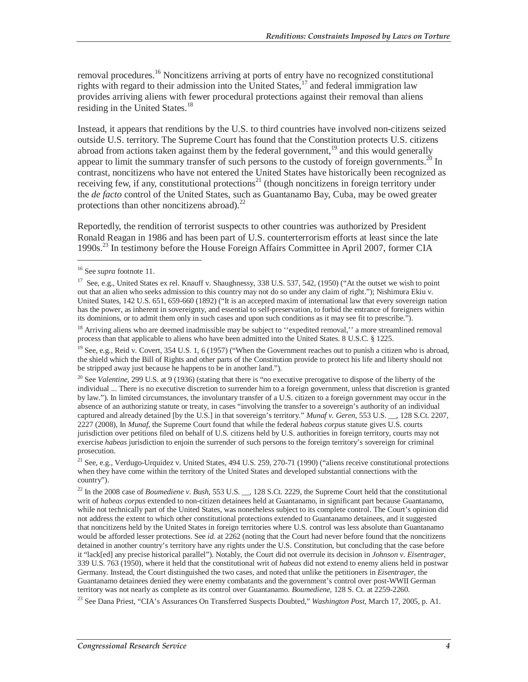removal procedures.<sup>16</sup> Noncitizens arriving at ports of entry have no recognized constitutional rights with regard to their admission into the United States,  $17$  and federal immigration law provides arriving aliens with fewer procedural protections against their removal than aliens residing in the United States.<sup>18</sup>

Instead, it appears that renditions by the U.S. to third countries have involved non-citizens seized outside U.S. territory. The Supreme Court has found that the Constitution protects U.S. citizens abroad from actions taken against them by the federal government,<sup>19</sup> and this would generally appear to limit the summary transfer of such persons to the custody of foreign governments.<sup>20</sup> In contrast, noncitizens who have not entered the United States have historically been recognized as receiving few, if any, constitutional protections<sup>21</sup> (though noncitizens in foreign territory under the *de facto* control of the United States, such as Guantanamo Bay, Cuba, may be owed greater protections than other noncitizens abroad). $^{22}$ 

Reportedly, the rendition of terrorist suspects to other countries was authorized by President Ronald Reagan in 1986 and has been part of U.S. counterterrorism efforts at least since the late 1990s.23 In testimony before the House Foreign Affairs Committee in April 2007, former CIA

<sup>16</sup> See *supra* footnote 11.

<sup>&</sup>lt;sup>17</sup> See, e.g., United States ex rel. Knauff v. Shaughnessy,  $338$  U.S.  $537$ ,  $542$ ,  $(1950)$  ("At the outset we wish to point out that an alien who seeks admission to this country may not do so under any claim of right."); Nishimura Ekiu v. United States, 142 U.S. 651, 659-660 (1892) ("It is an accepted maxim of international law that every sovereign nation has the power, as inherent in sovereignty, and essential to self-preservation, to forbid the entrance of foreigners within its dominions, or to admit them only in such cases and upon such conditions as it may see fit to prescribe.").

<sup>&</sup>lt;sup>18</sup> Arriving aliens who are deemed inadmissible may be subject to "expedited removal," a more streamlined removal process than that applicable to aliens who have been admitted into the United States. 8 U.S.C. § 1225.

<sup>&</sup>lt;sup>19</sup> See, e.g., Reid v. Covert, 354 U.S. 1, 6 (1957) ("When the Government reaches out to punish a citizen who is abroad, the shield which the Bill of Rights and other parts of the Constitution provide to protect his life and liberty should not be stripped away just because he happens to be in another land.").

<sup>&</sup>lt;sup>20</sup> See *Valentine*, 299 U.S. at 9 (1936) (stating that there is "no executive prerogative to dispose of the liberty of the individual ... There is no executive discretion to surrender him to a foreign government, unless that discretion is granted by law."). In limited circumstances, the involuntary transfer of a U.S. citizen to a foreign government may occur in the absence of an authorizing statute or treaty, in cases "involving the transfer to a sovereign's authority of an individual captured and already detained [by the U.S.] in that sovereign's territory." *Munaf v. Geren*, 553 U.S. \_\_, 128 S.Ct. 2207, 2227 (2008), In *Munaf*, the Supreme Court found that while the federal *habeas corpus* statute gives U.S. courts jurisdiction over petitions filed on behalf of U.S. citizens held by U.S. authorities in foreign territory, courts may not exercise *habeas* jurisdiction to enjoin the surrender of such persons to the foreign territory's sovereign for criminal prosecution.

<sup>&</sup>lt;sup>21</sup> See, e.g., Verdugo-Urquidez v. United States, 494 U.S. 259, 270-71 (1990) ("aliens receive constitutional protections when they have come within the territory of the United States and developed substantial connections with the country").

<sup>&</sup>lt;sup>22</sup> In the 2008 case of *Boumediene v. Bush*, 553 U.S. <sub>\_\_</sub>, 128 S.Ct. 2229, the Supreme Court held that the constitutional writ of *habeas corpus* extended to non-citizen detainees held at Guantanamo, in significant part because Guantanamo, while not technically part of the United States, was nonetheless subject to its complete control. The Court's opinion did not address the extent to which other constitutional protections extended to Guantanamo detainees, and it suggested that noncitizens held by the United States in foreign territories where U.S. control was less absolute than Guantanamo would be afforded lesser protections. See *id.* at 2262 (noting that the Court had never before found that the noncitizens detained in another country's territory have any rights under the U.S. Constitution, but concluding that the case before it "lack[ed] any precise historical parallel"). Notably, the Court did not overrule its decision in *Johnson v. Eisentrager*, 339 U.S. 763 (1950), where it held that the constitutional writ of *habeas* did not extend to enemy aliens held in postwar Germany. Instead, the Court distinguished the two cases, and noted that unlike the petitioners in *Eisentrager*, the Guantanamo detainees denied they were enemy combatants and the government's control over post-WWII German territory was not nearly as complete as its control over Guantanamo. *Boumediene*, 128 S. Ct. at 2259-2260.

<sup>23</sup> See Dana Priest, "CIA's Assurances On Transferred Suspects Doubted," *Washington Post*, March 17, 2005, p. A1.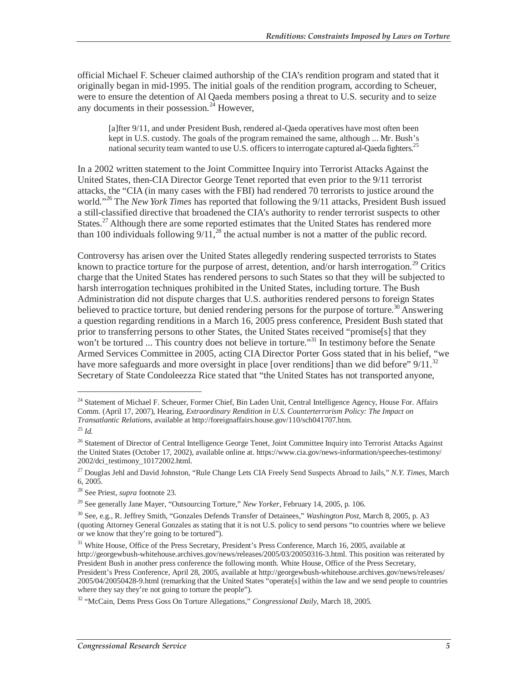official Michael F. Scheuer claimed authorship of the CIA's rendition program and stated that it originally began in mid-1995. The initial goals of the rendition program, according to Scheuer, were to ensure the detention of Al Qaeda members posing a threat to U.S. security and to seize any documents in their possession.<sup>24</sup> However,

[a]fter 9/11, and under President Bush, rendered al-Qaeda operatives have most often been kept in U.S. custody. The goals of the program remained the same, although ... Mr. Bush's national security team wanted to use U.S. officers to interrogate captured al-Qaeda fighters.<sup>25</sup>

In a 2002 written statement to the Joint Committee Inquiry into Terrorist Attacks Against the United States, then-CIA Director George Tenet reported that even prior to the 9/11 terrorist attacks, the "CIA (in many cases with the FBI) had rendered 70 terrorists to justice around the world."26 The *New York Times* has reported that following the 9/11 attacks, President Bush issued a still-classified directive that broadened the CIA's authority to render terrorist suspects to other States.<sup>27</sup> Although there are some reported estimates that the United States has rendered more than 100 individuals following  $9/11<sup>28</sup>$  the actual number is not a matter of the public record.

Controversy has arisen over the United States allegedly rendering suspected terrorists to States known to practice torture for the purpose of arrest, detention, and/or harsh interrogation.<sup>29</sup> Critics charge that the United States has rendered persons to such States so that they will be subjected to harsh interrogation techniques prohibited in the United States, including torture. The Bush Administration did not dispute charges that U.S. authorities rendered persons to foreign States believed to practice torture, but denied rendering persons for the purpose of torture.<sup>30</sup> Answering a question regarding renditions in a March 16, 2005 press conference, President Bush stated that prior to transferring persons to other States, the United States received "promise[s] that they won't be tortured ... This country does not believe in torture."<sup>31</sup> In testimony before the Senate Armed Services Committee in 2005, acting CIA Director Porter Goss stated that in his belief, "we have more safeguards and more oversight in place [over renditions] than we did before"  $9/11$ .<sup>32</sup> Secretary of State Condoleezza Rice stated that "the United States has not transported anyone,

<sup>&</sup>lt;sup>24</sup> Statement of Michael F. Scheuer, Former Chief, Bin Laden Unit, Central Intelligence Agency, House For. Affairs Comm. (April 17, 2007), Hearing, *Extraordinary Rendition in U.S. Counterterrorism Policy: The Impact on Transatlantic Relations*, available at http://foreignaffairs.house.gov/110/sch041707.htm. 25 *Id.*

<sup>&</sup>lt;sup>26</sup> Statement of Director of Central Intelligence George Tenet, Joint Committee Inquiry into Terrorist Attacks Against the United States (October 17, 2002), available online at. https://www.cia.gov/news-information/speeches-testimony/ 2002/dci\_testimony\_10172002.html.

<sup>27</sup> Douglas Jehl and David Johnston, "Rule Change Lets CIA Freely Send Suspects Abroad to Jails," *N.Y. Times*, March 6, 2005.

<sup>28</sup> See Priest, *supra* footnote 23.

<sup>29</sup> See generally Jane Mayer, "Outsourcing Torture," *New Yorker*, February 14, 2005, p. 106.

<sup>30</sup> See, e.g., R. Jeffrey Smith, "Gonzales Defends Transfer of Detainees," *Washington Post*, March 8, 2005, p. A3 (quoting Attorney General Gonzales as stating that it is not U.S. policy to send persons "to countries where we believe or we know that they're going to be tortured").

<sup>&</sup>lt;sup>31</sup> White House, Office of the Press Secretary, President's Press Conference, March 16, 2005, available at http://georgewbush-whitehouse.archives.gov/news/releases/2005/03/20050316-3.html. This position was reiterated by President Bush in another press conference the following month. White House, Office of the Press Secretary, President's Press Conference, April 28, 2005, available at http://georgewbush-whitehouse.archives.gov/news/releases/ 2005/04/20050428-9.html (remarking that the United States "operate[s] within the law and we send people to countries where they say they're not going to torture the people").

<sup>32 &</sup>quot;McCain, Dems Press Goss On Torture Allegations," *Congressional Daily*, March 18, 2005.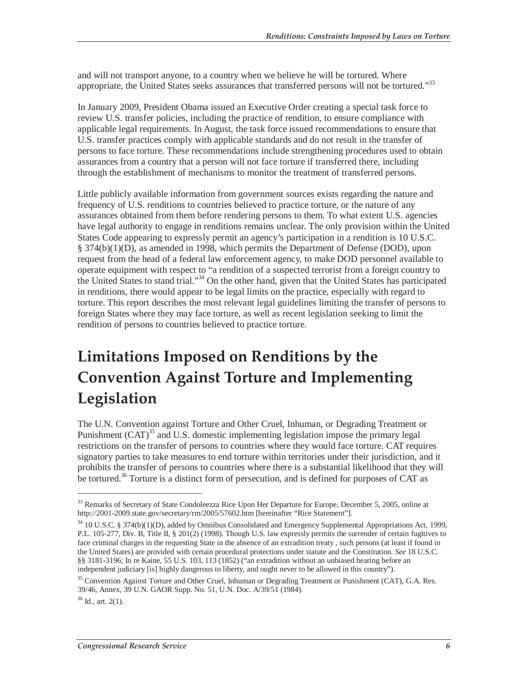and will not transport anyone, to a country when we believe he will be tortured. Where appropriate, the United States seeks assurances that transferred persons will not be tortured."33

In January 2009, President Obama issued an Executive Order creating a special task force to review U.S. transfer policies, including the practice of rendition, to ensure compliance with applicable legal requirements. In August, the task force issued recommendations to ensure that U.S. transfer practices comply with applicable standards and do not result in the transfer of persons to face torture. These recommendations include strengthening procedures used to obtain assurances from a country that a person will not face torture if transferred there, including through the establishment of mechanisms to monitor the treatment of transferred persons.

Little publicly available information from government sources exists regarding the nature and frequency of U.S. renditions to countries believed to practice torture, or the nature of any assurances obtained from them before rendering persons to them. To what extent U.S. agencies have legal authority to engage in renditions remains unclear. The only provision within the United States Code appearing to expressly permit an agency's participation in a rendition is 10 U.S.C. § 374(b)(1)(D), as amended in 1998, which permits the Department of Defense (DOD), upon request from the head of a federal law enforcement agency, to make DOD personnel available to operate equipment with respect to "a rendition of a suspected terrorist from a foreign country to the United States to stand trial."34 On the other hand, given that the United States has participated in renditions, there would appear to be legal limits on the practice, especially with regard to torture. This report describes the most relevant legal guidelines limiting the transfer of persons to foreign States where they may face torture, as well as recent legislation seeking to limit the rendition of persons to countries believed to practice torture.

## **Limitations Imposed on Renditions by the Convention Against Torture and Implementing Legislation**

The U.N. Convention against Torture and Other Cruel, Inhuman, or Degrading Treatment or Punishment  $(CAT)^{35}$  and U.S. domestic implementing legislation impose the primary legal restrictions on the transfer of persons to countries where they would face torture. CAT requires signatory parties to take measures to end torture within territories under their jurisdiction, and it prohibits the transfer of persons to countries where there is a substantial likelihood that they will be tortured.<sup>36</sup> Torture is a distinct form of persecution, and is defined for purposes of CAT as

 $36$  Id., art. 2(1).

<sup>&</sup>lt;sup>33</sup> Remarks of Secretary of State Condoleezza Rice Upon Her Departure for Europe, December 5, 2005, online at http://2001-2009.state.gov/secretary/rm/2005/57602.htm [hereinafter "Rice Statement"].

<sup>&</sup>lt;sup>34</sup> 10 U.S.C. § 374(b)(1)(D), added by Omnibus Consolidated and Emergency Supplemental Appropriations Act, 1999, P.L. 105-277, Div. B, Title II, § 201(2) (1998). Though U.S. law expressly permits the surrender of certain fugitives to face criminal charges in the requesting State in the absence of an extradition treaty , such persons (at least if found in the United States) are provided with certain procedural protections under statute and the Constitution. *See* 18 U.S.C. §§ 3181-3196; In re Kaine, 55 U.S. 103, 113 (1852) ("an extradition without an unbiased hearing before an independent judiciary [is] highly dangerous to liberty, and ought never to be allowed in this country").

<sup>&</sup>lt;sup>35</sup> Convention Against Torture and Other Cruel, Inhuman or Degrading Treatment or Punishment (CAT), G.A. Res. 39/46, Annex, 39 U.N. GAOR Supp. No. 51, U.N. Doc. A/39/51 (1984).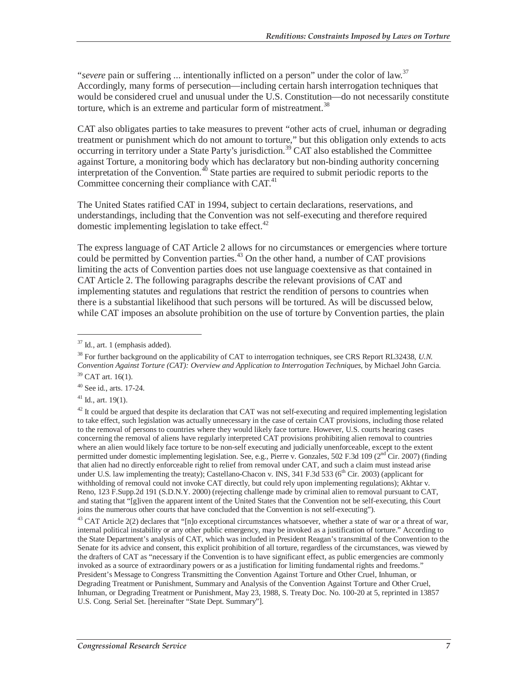*severe* pain or suffering ... intentionally inflicted on a person" under the color of law.<sup>37</sup> Accordingly, many forms of persecution—including certain harsh interrogation techniques that would be considered cruel and unusual under the U.S. Constitution—do not necessarily constitute torture, which is an extreme and particular form of mistreatment.<sup>38</sup>

CAT also obligates parties to take measures to prevent "other acts of cruel, inhuman or degrading treatment or punishment which do not amount to torture," but this obligation only extends to acts occurring in territory under a State Party's jurisdiction.<sup>39</sup> CAT also established the Committee against Torture, a monitoring body which has declaratory but non-binding authority concerning interpretation of the Convention.<sup>40</sup> State parties are required to submit periodic reports to the Committee concerning their compliance with CAT.<sup>41</sup>

The United States ratified CAT in 1994, subject to certain declarations, reservations, and understandings, including that the Convention was not self-executing and therefore required domestic implementing legislation to take effect. $42$ 

The express language of CAT Article 2 allows for no circumstances or emergencies where torture could be permitted by Convention parties. $43$  On the other hand, a number of CAT provisions limiting the acts of Convention parties does not use language coextensive as that contained in CAT Article 2. The following paragraphs describe the relevant provisions of CAT and implementing statutes and regulations that restrict the rendition of persons to countries when there is a substantial likelihood that such persons will be tortured. As will be discussed below, while CAT imposes an absolute prohibition on the use of torture by Convention parties, the plain

<u>.</u>

 $41$  Id., art. 19(1).

 $42$  It could be argued that despite its declaration that CAT was not self-executing and required implementing legislation to take effect, such legislation was actually unnecessary in the case of certain CAT provisions, including those related to the removal of persons to countries where they would likely face torture. However, U.S. courts hearing cases concerning the removal of aliens have regularly interpreted CAT provisions prohibiting alien removal to countries where an alien would likely face torture to be non-self executing and judicially unenforceable, except to the extent permitted under domestic implementing legislation. See, e.g., Pierre v. Gonzales, 502 F.3d 109 (2<sup>nd</sup> Cir. 2007) (finding that alien had no directly enforceable right to relief from removal under CAT, and such a claim must instead arise under U.S. law implementing the treaty); Castellano-Chacon v. INS, 341 F.3d 533 (6<sup>th</sup> Cir. 2003) (applicant for withholding of removal could not invoke CAT directly, but could rely upon implementing regulations); Akhtar v. Reno, 123 F.Supp.2d 191 (S.D.N.Y. 2000) (rejecting challenge made by criminal alien to removal pursuant to CAT, and stating that "[g]iven the apparent intent of the United States that the Convention not be self-executing, this Court joins the numerous other courts that have concluded that the Convention is not self-executing").

 $43$  CAT Article 2(2) declares that "[n]o exceptional circumstances whatsoever, whether a state of war or a threat of war, internal political instability or any other public emergency, may be invoked as a justification of torture." According to the State Department's analysis of CAT, which was included in President Reagan's transmittal of the Convention to the Senate for its advice and consent, this explicit prohibition of all torture, regardless of the circumstances, was viewed by the drafters of CAT as "necessary if the Convention is to have significant effect, as public emergencies are commonly invoked as a source of extraordinary powers or as a justification for limiting fundamental rights and freedoms." President's Message to Congress Transmitting the Convention Against Torture and Other Cruel, Inhuman, or Degrading Treatment or Punishment, Summary and Analysis of the Convention Against Torture and Other Cruel, Inhuman, or Degrading Treatment or Punishment, May 23, 1988, S. Treaty Doc. No. 100-20 at 5, reprinted in 13857 U.S. Cong. Serial Set. [hereinafter "State Dept. Summary"].

 $37$  Id., art. 1 (emphasis added).

<sup>38</sup> For further background on the applicability of CAT to interrogation techniques, see CRS Report RL32438, *U.N. Convention Against Torture (CAT): Overview and Application to Interrogation Techniques*, by Michael John Garcia.

 $39$  CAT art. 16(1).

<sup>40</sup> See id., arts. 17-24.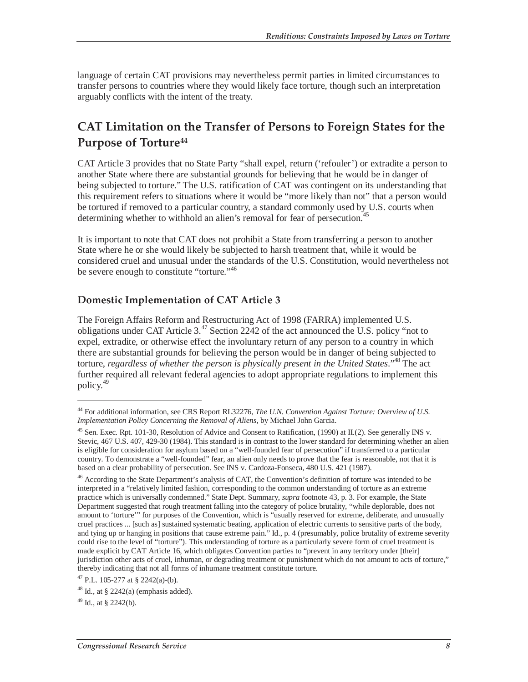language of certain CAT provisions may nevertheless permit parties in limited circumstances to transfer persons to countries where they would likely face torture, though such an interpretation arguably conflicts with the intent of the treaty.

### **CAT Limitation on the Transfer of Persons to Foreign States for the Purpose of Torture44**

CAT Article 3 provides that no State Party "shall expel, return ('refouler') or extradite a person to another State where there are substantial grounds for believing that he would be in danger of being subjected to torture." The U.S. ratification of CAT was contingent on its understanding that this requirement refers to situations where it would be "more likely than not" that a person would be tortured if removed to a particular country, a standard commonly used by U.S. courts when determining whether to withhold an alien's removal for fear of persecution.<sup>45</sup>

It is important to note that CAT does not prohibit a State from transferring a person to another State where he or she would likely be subjected to harsh treatment that, while it would be considered cruel and unusual under the standards of the U.S. Constitution, would nevertheless not be severe enough to constitute "torture."<sup>46</sup>

#### **Domestic Implementation of CAT Article 3**

The Foreign Affairs Reform and Restructuring Act of 1998 (FARRA) implemented U.S. obligations under CAT Article 3.<sup>47</sup> Section 2242 of the act announced the U.S. policy "not to expel, extradite, or otherwise effect the involuntary return of any person to a country in which there are substantial grounds for believing the person would be in danger of being subjected to torture, *regardless of whether the person is physically present in the United States*."48 The act further required all relevant federal agencies to adopt appropriate regulations to implement this policy.<sup>49</sup>

<sup>44</sup> For additional information, see CRS Report RL32276, *The U.N. Convention Against Torture: Overview of U.S. Implementation Policy Concerning the Removal of Aliens*, by Michael John Garcia.

<sup>45</sup> Sen. Exec. Rpt. 101-30, Resolution of Advice and Consent to Ratification, (1990) at II.(2). See generally INS v. Stevic, 467 U.S. 407, 429-30 (1984). This standard is in contrast to the lower standard for determining whether an alien is eligible for consideration for asylum based on a "well-founded fear of persecution" if transferred to a particular country. To demonstrate a "well-founded" fear, an alien only needs to prove that the fear is reasonable, not that it is based on a clear probability of persecution. See INS v. Cardoza-Fonseca, 480 U.S. 421 (1987).

<sup>&</sup>lt;sup>46</sup> According to the State Department's analysis of CAT, the Convention's definition of torture was intended to be interpreted in a "relatively limited fashion, corresponding to the common understanding of torture as an extreme practice which is universally condemned." State Dept. Summary, *supra* footnote 43, p. 3. For example, the State Department suggested that rough treatment falling into the category of police brutality, "while deplorable, does not amount to 'torture'" for purposes of the Convention, which is "usually reserved for extreme, deliberate, and unusually cruel practices ... [such as] sustained systematic beating, application of electric currents to sensitive parts of the body, and tying up or hanging in positions that cause extreme pain." Id., p. 4 (presumably, police brutality of extreme severity could rise to the level of "torture"). This understanding of torture as a particularly severe form of cruel treatment is made explicit by CAT Article 16, which obligates Convention parties to "prevent in any territory under [their] jurisdiction other acts of cruel, inhuman, or degrading treatment or punishment which do not amount to acts of torture," thereby indicating that not all forms of inhumane treatment constitute torture.

<sup>47</sup> P.L. 105-277 at § 2242(a)-(b).

 $48$  Id., at § 2242(a) (emphasis added).

 $49$  Id., at § 2242(b).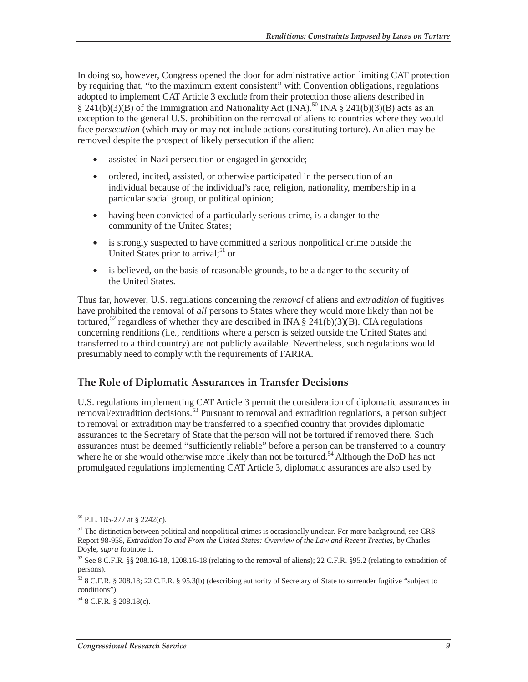In doing so, however, Congress opened the door for administrative action limiting CAT protection by requiring that, "to the maximum extent consistent" with Convention obligations, regulations adopted to implement CAT Article 3 exclude from their protection those aliens described in  $\S$  241(b)(3)(B) of the Immigration and Nationality Act (INA).<sup>50</sup> INA  $\S$  241(b)(3)(B) acts as an exception to the general U.S. prohibition on the removal of aliens to countries where they would face *persecution* (which may or may not include actions constituting torture). An alien may be removed despite the prospect of likely persecution if the alien:

- assisted in Nazi persecution or engaged in genocide;
- ordered, incited, assisted, or otherwise participated in the persecution of an individual because of the individual's race, religion, nationality, membership in a particular social group, or political opinion;
- having been convicted of a particularly serious crime, is a danger to the community of the United States;
- is strongly suspected to have committed a serious nonpolitical crime outside the United States prior to arrival; $51$  or
- is believed, on the basis of reasonable grounds, to be a danger to the security of the United States.

Thus far, however, U.S. regulations concerning the *removal* of aliens and *extradition* of fugitives have prohibited the removal of *all* persons to States where they would more likely than not be tortured,<sup>52</sup> regardless of whether they are described in INA § 241(b)(3)(B). CIA regulations concerning renditions (i.e., renditions where a person is seized outside the United States and transferred to a third country) are not publicly available. Nevertheless, such regulations would presumably need to comply with the requirements of FARRA.

#### **The Role of Diplomatic Assurances in Transfer Decisions**

U.S. regulations implementing CAT Article 3 permit the consideration of diplomatic assurances in removal/extradition decisions.53 Pursuant to removal and extradition regulations, a person subject to removal or extradition may be transferred to a specified country that provides diplomatic assurances to the Secretary of State that the person will not be tortured if removed there. Such assurances must be deemed "sufficiently reliable" before a person can be transferred to a country where he or she would otherwise more likely than not be tortured.<sup>54</sup> Although the DoD has not promulgated regulations implementing CAT Article 3, diplomatic assurances are also used by

<sup>50</sup> P.L. 105-277 at § 2242(c).

<sup>&</sup>lt;sup>51</sup> The distinction between political and nonpolitical crimes is occasionally unclear. For more background, see CRS Report 98-958, *Extradition To and From the United States: Overview of the Law and Recent Treaties*, by Charles Doyle, *supra* footnote 1.

<sup>52</sup> See 8 C.F.R. §§ 208.16-18, 1208.16-18 (relating to the removal of aliens); 22 C.F.R. §95.2 (relating to extradition of persons).

<sup>53 8</sup> C.F.R. § 208.18; 22 C.F.R. § 95.3(b) (describing authority of Secretary of State to surrender fugitive "subject to conditions").

 $54$  8 C.F.R. § 208.18(c).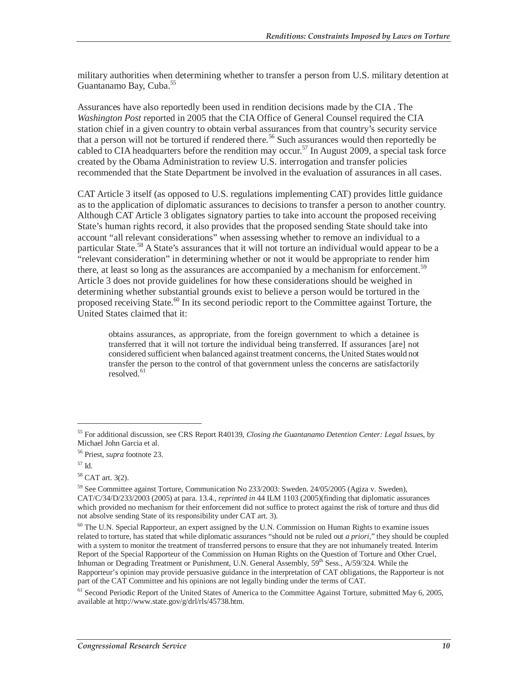military authorities when determining whether to transfer a person from U.S. military detention at Guantanamo Bay, Cuba.<sup>55</sup>

Assurances have also reportedly been used in rendition decisions made by the CIA . The *Washington Post* reported in 2005 that the CIA Office of General Counsel required the CIA station chief in a given country to obtain verbal assurances from that country's security service that a person will not be tortured if rendered there.<sup>56</sup> Such assurances would then reportedly be cabled to CIA headquarters before the rendition may occur.<sup>57</sup> In August 2009, a special task force created by the Obama Administration to review U.S. interrogation and transfer policies recommended that the State Department be involved in the evaluation of assurances in all cases.

CAT Article 3 itself (as opposed to U.S. regulations implementing CAT) provides little guidance as to the application of diplomatic assurances to decisions to transfer a person to another country. Although CAT Article 3 obligates signatory parties to take into account the proposed receiving State's human rights record, it also provides that the proposed sending State should take into account "all relevant considerations" when assessing whether to remove an individual to a particular State.<sup>58</sup> A State's assurances that it will not torture an individual would appear to be a "relevant consideration" in determining whether or not it would be appropriate to render him there, at least so long as the assurances are accompanied by a mechanism for enforcement.<sup>59</sup> Article 3 does not provide guidelines for how these considerations should be weighed in determining whether substantial grounds exist to believe a person would be tortured in the proposed receiving State.<sup>60</sup> In its second periodic report to the Committee against Torture, the United States claimed that it:

obtains assurances, as appropriate, from the foreign government to which a detainee is transferred that it will not torture the individual being transferred. If assurances [are] not considered sufficient when balanced against treatment concerns, the United States would not transfer the person to the control of that government unless the concerns are satisfactorily resolved.<sup>61</sup>

<sup>55</sup> For additional discussion, see CRS Report R40139, *Closing the Guantanamo Detention Center: Legal Issues*, by Michael John Garcia et al.

<sup>56</sup> Priest, *supra* footnote 23.

<sup>57</sup> Id.

<sup>58</sup> CAT art. 3(2).

<sup>59</sup> See Committee against Torture, Communication No 233/2003: Sweden. 24/05/2005 (Agiza v. Sweden), CAT/C/34/D/233/2003 (2005) at para. 13.4., *reprinted in* 44 ILM 1103 (2005)(finding that diplomatic assurances which provided no mechanism for their enforcement did not suffice to protect against the risk of torture and thus did not absolve sending State of its responsibility under CAT art. 3).

<sup>60</sup> The U.N. Special Rapporteur, an expert assigned by the U.N. Commission on Human Rights to examine issues related to torture, has stated that while diplomatic assurances "should not be ruled out *a priori*," they should be coupled with a system to monitor the treatment of transferred persons to ensure that they are not inhumanely treated. Interim Report of the Special Rapporteur of the Commission on Human Rights on the Question of Torture and Other Cruel, Inhuman or Degrading Treatment or Punishment, U.N. General Assembly, 59th Sess., A/59/324. While the Rapporteur's opinion may provide persuasive guidance in the interpretation of CAT obligations, the Rapporteur is not part of the CAT Committee and his opinions are not legally binding under the terms of CAT.

<sup>&</sup>lt;sup>61</sup> Second Periodic Report of the United States of America to the Committee Against Torture, submitted May 6, 2005, available at http://www.state.gov/g/drl/rls/45738.htm.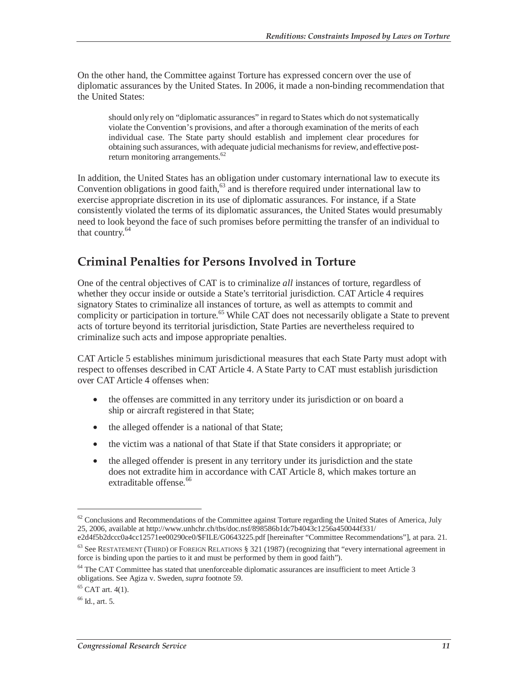On the other hand, the Committee against Torture has expressed concern over the use of diplomatic assurances by the United States. In 2006, it made a non-binding recommendation that the United States:

should only rely on "diplomatic assurances" in regard to States which do not systematically violate the Convention's provisions, and after a thorough examination of the merits of each individual case. The State party should establish and implement clear procedures for obtaining such assurances, with adequate judicial mechanisms for review, and effective postreturn monitoring arrangements.<sup>62</sup>

In addition, the United States has an obligation under customary international law to execute its Convention obligations in good faith, $63$  and is therefore required under international law to exercise appropriate discretion in its use of diplomatic assurances. For instance, if a State consistently violated the terms of its diplomatic assurances, the United States would presumably need to look beyond the face of such promises before permitting the transfer of an individual to that country.<sup>64</sup>

#### **Criminal Penalties for Persons Involved in Torture**

One of the central objectives of CAT is to criminalize *all* instances of torture, regardless of whether they occur inside or outside a State's territorial jurisdiction. CAT Article 4 requires signatory States to criminalize all instances of torture, as well as attempts to commit and complicity or participation in torture.<sup>65</sup> While CAT does not necessarily obligate a State to prevent acts of torture beyond its territorial jurisdiction, State Parties are nevertheless required to criminalize such acts and impose appropriate penalties.

CAT Article 5 establishes minimum jurisdictional measures that each State Party must adopt with respect to offenses described in CAT Article 4. A State Party to CAT must establish jurisdiction over CAT Article 4 offenses when:

- the offenses are committed in any territory under its jurisdiction or on board a ship or aircraft registered in that State;
- the alleged offender is a national of that State;
- the victim was a national of that State if that State considers it appropriate; or
- the alleged offender is present in any territory under its jurisdiction and the state does not extradite him in accordance with CAT Article 8, which makes torture an extraditable offense.<sup>66</sup>

 $62$  Conclusions and Recommendations of the Committee against Torture regarding the United States of America, July 25, 2006, available at http://www.unhchr.ch/tbs/doc.nsf/898586b1dc7b4043c1256a450044f331/

e2d4f5b2dccc0a4cc12571ee00290ce0/\$FILE/G0643225.pdf [hereinafter "Committee Recommendations"], at para. 21. 63 See RESTATEMENT (THIRD) OF FOREIGN RELATIONS § 321 (1987) (recognizing that "every international agreement in

force is binding upon the parties to it and must be performed by them in good faith").

<sup>&</sup>lt;sup>64</sup> The CAT Committee has stated that unenforceable diplomatic assurances are insufficient to meet Article 3 obligations. See Agiza v. Sweden, *supra* footnote 59. 65 CAT art. 4(1).

 $66$  Id., art. 5.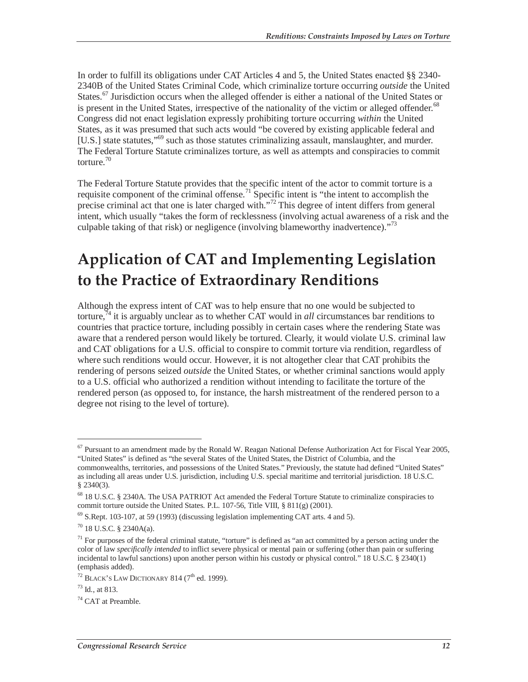In order to fulfill its obligations under CAT Articles 4 and 5, the United States enacted §§ 2340- 2340B of the United States Criminal Code, which criminalize torture occurring *outside* the United States.<sup>67</sup> Jurisdiction occurs when the alleged offender is either a national of the United States or is present in the United States, irrespective of the nationality of the victim or alleged offender.<sup>68</sup> Congress did not enact legislation expressly prohibiting torture occurring *within* the United States, as it was presumed that such acts would "be covered by existing applicable federal and [U.S.] state statutes,"<sup>69</sup> such as those statutes criminalizing assault, manslaughter, and murder. The Federal Torture Statute criminalizes torture, as well as attempts and conspiracies to commit torture.<sup>70</sup>

The Federal Torture Statute provides that the specific intent of the actor to commit torture is a requisite component of the criminal offense.<sup>71</sup> Specific intent is "the intent to accomplish the precise criminal act that one is later charged with."<sup>72</sup> This degree of intent differs from general intent, which usually "takes the form of recklessness (involving actual awareness of a risk and the culpable taking of that risk) or negligence (involving blameworthy inadvertence)."<sup>73</sup>

## **Application of CAT and Implementing Legislation to the Practice of Extraordinary Renditions**

Although the express intent of CAT was to help ensure that no one would be subjected to torture,74 it is arguably unclear as to whether CAT would in *all* circumstances bar renditions to countries that practice torture, including possibly in certain cases where the rendering State was aware that a rendered person would likely be tortured. Clearly, it would violate U.S. criminal law and CAT obligations for a U.S. official to conspire to commit torture via rendition, regardless of where such renditions would occur. However, it is not altogether clear that CAT prohibits the rendering of persons seized *outside* the United States, or whether criminal sanctions would apply to a U.S. official who authorized a rendition without intending to facilitate the torture of the rendered person (as opposed to, for instance, the harsh mistreatment of the rendered person to a degree not rising to the level of torture).

 $67$  Pursuant to an amendment made by the Ronald W. Reagan National Defense Authorization Act for Fiscal Year 2005, "United States" is defined as "the several States of the United States, the District of Columbia, and the

commonwealths, territories, and possessions of the United States." Previously, the statute had defined "United States" as including all areas under U.S. jurisdiction, including U.S. special maritime and territorial jurisdiction. 18 U.S.C. § 2340(3).

<sup>&</sup>lt;sup>68</sup> 18 U.S.C. § 2340A. The USA PATRIOT Act amended the Federal Torture Statute to criminalize conspiracies to commit torture outside the United States. P.L. 107-56, Title VIII, § 811(g) (2001).

 $^{69}$  S.Rept. 103-107, at 59 (1993) (discussing legislation implementing CAT arts. 4 and 5).

 $70$  18 U.S.C. § 2340A(a).

 $71$  For purposes of the federal criminal statute, "torture" is defined as "an act committed by a person acting under the color of law *specifically intended* to inflict severe physical or mental pain or suffering (other than pain or suffering incidental to lawful sanctions) upon another person within his custody or physical control." 18 U.S.C. § 2340(1) (emphasis added).

 $72$  BLACK's LAW DICTIONARY 814 ( $7<sup>th</sup>$  ed. 1999).

 $73$  Id., at 813.

 $74$  CAT at Preamble.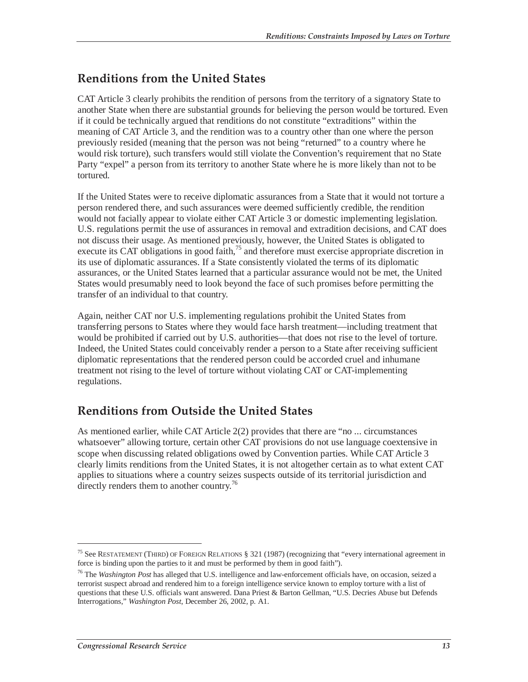### **Renditions from the United States**

CAT Article 3 clearly prohibits the rendition of persons from the territory of a signatory State to another State when there are substantial grounds for believing the person would be tortured. Even if it could be technically argued that renditions do not constitute "extraditions" within the meaning of CAT Article 3, and the rendition was to a country other than one where the person previously resided (meaning that the person was not being "returned" to a country where he would risk torture), such transfers would still violate the Convention's requirement that no State Party "expel" a person from its territory to another State where he is more likely than not to be tortured.

If the United States were to receive diplomatic assurances from a State that it would not torture a person rendered there, and such assurances were deemed sufficiently credible, the rendition would not facially appear to violate either CAT Article 3 or domestic implementing legislation. U.S. regulations permit the use of assurances in removal and extradition decisions, and CAT does not discuss their usage. As mentioned previously, however, the United States is obligated to execute its CAT obligations in good faith, $^{75}$  and therefore must exercise appropriate discretion in its use of diplomatic assurances. If a State consistently violated the terms of its diplomatic assurances, or the United States learned that a particular assurance would not be met, the United States would presumably need to look beyond the face of such promises before permitting the transfer of an individual to that country.

Again, neither CAT nor U.S. implementing regulations prohibit the United States from transferring persons to States where they would face harsh treatment—including treatment that would be prohibited if carried out by U.S. authorities—that does not rise to the level of torture. Indeed, the United States could conceivably render a person to a State after receiving sufficient diplomatic representations that the rendered person could be accorded cruel and inhumane treatment not rising to the level of torture without violating CAT or CAT-implementing regulations.

### **Renditions from Outside the United States**

As mentioned earlier, while CAT Article 2(2) provides that there are "no ... circumstances whatsoever" allowing torture, certain other CAT provisions do not use language coextensive in scope when discussing related obligations owed by Convention parties. While CAT Article 3 clearly limits renditions from the United States, it is not altogether certain as to what extent CAT applies to situations where a country seizes suspects outside of its territorial jurisdiction and directly renders them to another country.<sup>76</sup>

<sup>75</sup> See RESTATEMENT (THIRD) OF FOREIGN RELATIONS § 321 (1987) (recognizing that "every international agreement in force is binding upon the parties to it and must be performed by them in good faith").

<sup>76</sup> The *Washington Post* has alleged that U.S. intelligence and law-enforcement officials have, on occasion, seized a terrorist suspect abroad and rendered him to a foreign intelligence service known to employ torture with a list of questions that these U.S. officials want answered. Dana Priest & Barton Gellman, "U.S. Decries Abuse but Defends Interrogations," *Washington Post*, December 26, 2002, p. A1.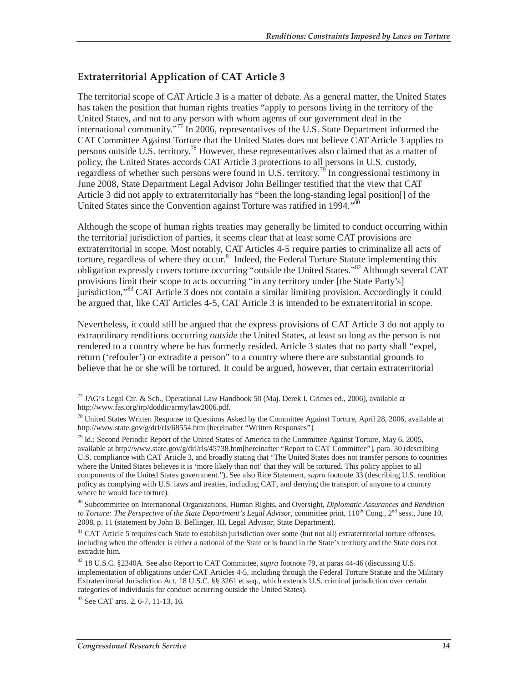#### **Extraterritorial Application of CAT Article 3**

The territorial scope of CAT Article 3 is a matter of debate. As a general matter, the United States has taken the position that human rights treaties "apply to persons living in the territory of the United States, and not to any person with whom agents of our government deal in the international community."<sup>77</sup> In 2006, representatives of the U.S. State Department informed the CAT Committee Against Torture that the United States does not believe CAT Article 3 applies to persons outside U.S. territory.<sup>78</sup> However, these representatives also claimed that as a matter of policy, the United States accords CAT Article 3 protections to all persons in U.S. custody, regardless of whether such persons were found in U.S. territory.<sup>79</sup> In congressional testimony in June 2008, State Department Legal Advisor John Bellinger testified that the view that CAT Article 3 did not apply to extraterritorially has "been the long-standing legal position[] of the United States since the Convention against Torture was ratified in 1994."<sup>8</sup>

Although the scope of human rights treaties may generally be limited to conduct occurring within the territorial jurisdiction of parties, it seems clear that at least some CAT provisions are extraterritorial in scope. Most notably, CAT Articles 4-5 require parties to criminalize all acts of torture, regardless of where they occur.<sup>81</sup> Indeed, the Federal Torture Statute implementing this obligation expressly covers torture occurring "outside the United States."82 Although several CAT provisions limit their scope to acts occurring "in any territory under [the State Party's] jurisdiction,"<sup>83</sup> CAT Article 3 does not contain a similar limiting provision. Accordingly it could be argued that, like CAT Articles 4-5, CAT Article 3 is intended to be extraterritorial in scope.

Nevertheless, it could still be argued that the express provisions of CAT Article 3 do not apply to extraordinary renditions occurring *outside* the United States, at least so long as the person is not rendered to a country where he has formerly resided. Article 3 states that no party shall "expel, return ('refouler') or extradite a person" to a country where there are substantial grounds to believe that he or she will be tortured. It could be argued, however, that certain extraterritorial

83 See CAT arts. 2, 6-7, 11-13, 16.

 $^{77}$  JAG's Legal Ctr. & Sch., Operational Law Handbook 50 (Maj. Derek I. Grimes ed., 2006), available at http://www.fas.org/irp/doddir/army/law2006.pdf.

<sup>&</sup>lt;sup>78</sup> United States Written Response to Questions Asked by the Committee Against Torture, April 28, 2006, available at http://www.state.gov/g/drl/rls/68554.htm [hereinafter "Written Responses"].

<sup>&</sup>lt;sup>79</sup> Id.; Second Periodic Report of the United States of America to the Committee Against Torture, May 6, 2005, available at http://www.state.gov/g/drl/rls/45738.htm[hereinafter "Report to CAT Committee"], para. 30 (describing U.S. compliance with CAT Article 3, and broadly stating that "The United States does not transfer persons to countries where the United States believes it is 'more likely than not' that they will be tortured. This policy applies to all components of the United States government."). See also Rice Statement, *supra* footnote 33 (describing U.S. rendition policy as complying with U.S. laws and treaties, including CAT, and denying the transport of anyone to a country where he would face torture).

<sup>80</sup> Subcommittee on International Organizations, Human Rights, and Oversight, *Diplomatic Assurances and Rendition to Torture: The Perspective of the State Department's Legal Advisor*, committee print, 110<sup>th</sup> Cong., 2<sup>nd</sup> sess., June 10, 2008, p. 11 (statement by John B. Bellinger, III, Legal Advisor, State Department).

<sup>&</sup>lt;sup>81</sup> CAT Article 5 requires each State to establish jurisdiction over some (but not all) extraterritorial torture offenses, including when the offender is either a national of the State or is found in the State's territory and the State does not extradite him.

<sup>82 18</sup> U.S.C. §2340A. See also Report to CAT Committee, *supra* footnote 79, at paras 44-46 (discussing U.S. implementation of obligations under CAT Articles 4-5, including through the Federal Torture Statute and the Military Extraterritorial Jurisdiction Act, 18 U.S.C. §§ 3261 et seq., which extends U.S. criminal jurisdiction over certain categories of individuals for conduct occurring outside the United States).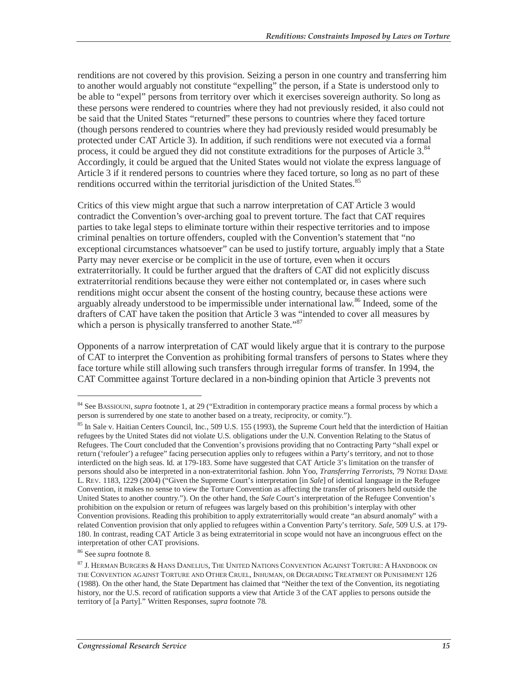renditions are not covered by this provision. Seizing a person in one country and transferring him to another would arguably not constitute "expelling" the person, if a State is understood only to be able to "expel" persons from territory over which it exercises sovereign authority. So long as these persons were rendered to countries where they had not previously resided, it also could not be said that the United States "returned" these persons to countries where they faced torture (though persons rendered to countries where they had previously resided would presumably be protected under CAT Article 3). In addition, if such renditions were not executed via a formal process, it could be argued they did not constitute extraditions for the purposes of Article 3.<sup>84</sup> Accordingly, it could be argued that the United States would not violate the express language of Article 3 if it rendered persons to countries where they faced torture, so long as no part of these renditions occurred within the territorial jurisdiction of the United States.<sup>85</sup>

Critics of this view might argue that such a narrow interpretation of CAT Article 3 would contradict the Convention's over-arching goal to prevent torture. The fact that CAT requires parties to take legal steps to eliminate torture within their respective territories and to impose criminal penalties on torture offenders, coupled with the Convention's statement that "no exceptional circumstances whatsoever" can be used to justify torture, arguably imply that a State Party may never exercise or be complicit in the use of torture, even when it occurs extraterritorially. It could be further argued that the drafters of CAT did not explicitly discuss extraterritorial renditions because they were either not contemplated or, in cases where such renditions might occur absent the consent of the hosting country, because these actions were arguably already understood to be impermissible under international law.<sup>86</sup> Indeed, some of the drafters of CAT have taken the position that Article 3 was "intended to cover all measures by which a person is physically transferred to another State."<sup>87</sup>

Opponents of a narrow interpretation of CAT would likely argue that it is contrary to the purpose of CAT to interpret the Convention as prohibiting formal transfers of persons to States where they face torture while still allowing such transfers through irregular forms of transfer. In 1994, the CAT Committee against Torture declared in a non-binding opinion that Article 3 prevents not

<sup>84</sup> See BASSIOUNI, *supra* footnote 1, at 29 ("Extradition in contemporary practice means a formal process by which a person is surrendered by one state to another based on a treaty, reciprocity, or comity.").

<sup>&</sup>lt;sup>85</sup> In Sale v. Haitian Centers Council, Inc., 509 U.S. 155 (1993), the Supreme Court held that the interdiction of Haitian refugees by the United States did not violate U.S. obligations under the U.N. Convention Relating to the Status of Refugees. The Court concluded that the Convention's provisions providing that no Contracting Party "shall expel or return ('refouler') a refugee" facing persecution applies only to refugees within a Party's territory, and not to those interdicted on the high seas. Id. at 179-183. Some have suggested that CAT Article 3's limitation on the transfer of persons should also be interpreted in a non-extraterritorial fashion. John Yoo, *Transferring Terrorists*, 79 NOTRE DAME L. REV. 1183, 1229 (2004) ("Given the Supreme Court's interpretation [in *Sale*] of identical language in the Refugee Convention, it makes no sense to view the Torture Convention as affecting the transfer of prisoners held outside the United States to another country."). On the other hand, the *Sale* Court's interpretation of the Refugee Convention's prohibition on the expulsion or return of refugees was largely based on this prohibition's interplay with other Convention provisions. Reading this prohibition to apply extraterritorially would create "an absurd anomaly" with a related Convention provision that only applied to refugees within a Convention Party's territory. *Sale*, 509 U.S. at 179- 180. In contrast, reading CAT Article 3 as being extraterritorial in scope would not have an incongruous effect on the interpretation of other CAT provisions.

<sup>86</sup> See *supra* footnote 8.

 $^{87}$  J. Herman Burgers & Hans Danelius, The United Nations Convention Against Torture: A Handbook on THE CONVENTION AGAINST TORTURE AND OTHER CRUEL, INHUMAN, OR DEGRADING TREATMENT OR PUNISHMENT 126 (1988). On the other hand, the State Department has claimed that "Neither the text of the Convention, its negotiating history, nor the U.S. record of ratification supports a view that Article 3 of the CAT applies to persons outside the territory of [a Party]." Written Responses, *supra* footnote 78.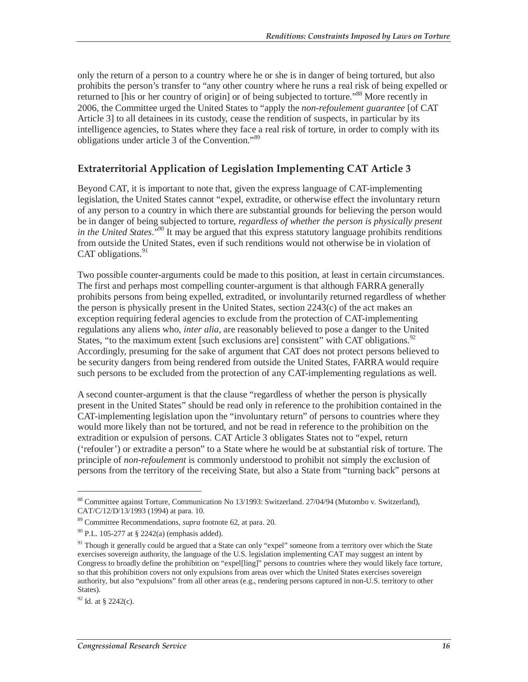only the return of a person to a country where he or she is in danger of being tortured, but also prohibits the person's transfer to "any other country where he runs a real risk of being expelled or returned to [his or her country of origin] or of being subjected to torture."<sup>88</sup> More recently in 2006, the Committee urged the United States to "apply the *non-refoulement guarantee* [of CAT Article 3] to all detainees in its custody, cease the rendition of suspects, in particular by its intelligence agencies, to States where they face a real risk of torture, in order to comply with its obligations under article 3 of the Convention."<sup>89</sup>

#### **Extraterritorial Application of Legislation Implementing CAT Article 3**

Beyond CAT, it is important to note that, given the express language of CAT-implementing legislation, the United States cannot "expel, extradite, or otherwise effect the involuntary return of any person to a country in which there are substantial grounds for believing the person would be in danger of being subjected to torture, *regardless of whether the person is physically present in the United States*."90 It may be argued that this express statutory language prohibits renditions from outside the United States, even if such renditions would not otherwise be in violation of CAT obligations. $91$ 

Two possible counter-arguments could be made to this position, at least in certain circumstances. The first and perhaps most compelling counter-argument is that although FARRA generally prohibits persons from being expelled, extradited, or involuntarily returned regardless of whether the person is physically present in the United States, section 2243(c) of the act makes an exception requiring federal agencies to exclude from the protection of CAT-implementing regulations any aliens who, *inter alia*, are reasonably believed to pose a danger to the United States, "to the maximum extent [such exclusions are] consistent" with CAT obligations.<sup>92</sup> Accordingly, presuming for the sake of argument that CAT does not protect persons believed to be security dangers from being rendered from outside the United States, FARRA would require such persons to be excluded from the protection of any CAT-implementing regulations as well.

A second counter-argument is that the clause "regardless of whether the person is physically present in the United States" should be read only in reference to the prohibition contained in the CAT-implementing legislation upon the "involuntary return" of persons to countries where they would more likely than not be tortured, and not be read in reference to the prohibition on the extradition or expulsion of persons. CAT Article 3 obligates States not to "expel, return ('refouler') or extradite a person" to a State where he would be at substantial risk of torture. The principle of *non-refoulement* is commonly understood to prohibit not simply the exclusion of persons from the territory of the receiving State, but also a State from "turning back" persons at

<sup>88</sup> Committee against Torture, Communication No 13/1993: Switzerland. 27/04/94 (Mutombo v. Switzerland), CAT/C/12/D/13/1993 (1994) at para. 10.

<sup>89</sup> Committee Recommendations, *supra* footnote 62, at para. 20.

 $90$  P.L. 105-277 at § 2242(a) (emphasis added).

<sup>&</sup>lt;sup>91</sup> Though it generally could be argued that a State can only "expel" someone from a territory over which the State exercises sovereign authority, the language of the U.S. legislation implementing CAT may suggest an intent by Congress to broadly define the prohibition on "expel[ling]" persons to countries where they would likely face torture, so that this prohibition covers not only expulsions from areas over which the United States exercises sovereign authority, but also "expulsions" from all other areas (e.g., rendering persons captured in non-U.S. territory to other States).

 $92$  Id. at § 2242(c).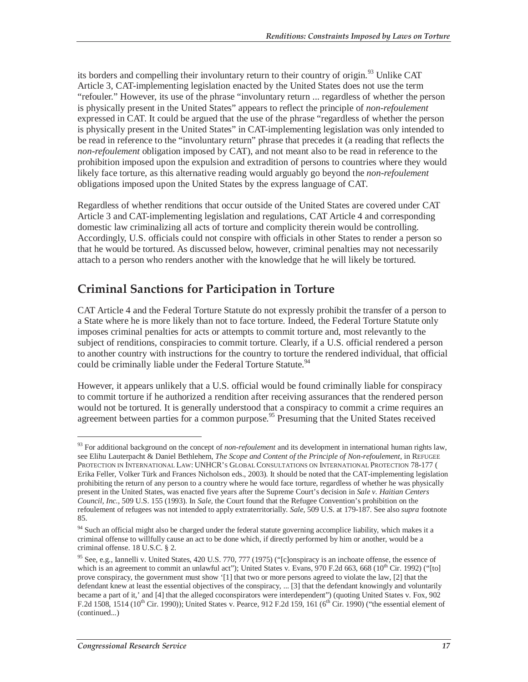its borders and compelling their involuntary return to their country of origin.<sup>93</sup> Unlike CAT Article 3, CAT-implementing legislation enacted by the United States does not use the term "refouler." However, its use of the phrase "involuntary return ... regardless of whether the person is physically present in the United States" appears to reflect the principle of *non-refoulement* expressed in CAT. It could be argued that the use of the phrase "regardless of whether the person is physically present in the United States" in CAT-implementing legislation was only intended to be read in reference to the "involuntary return" phrase that precedes it (a reading that reflects the *non-refoulement* obligation imposed by CAT), and not meant also to be read in reference to the prohibition imposed upon the expulsion and extradition of persons to countries where they would likely face torture, as this alternative reading would arguably go beyond the *non-refoulement* obligations imposed upon the United States by the express language of CAT.

Regardless of whether renditions that occur outside of the United States are covered under CAT Article 3 and CAT-implementing legislation and regulations, CAT Article 4 and corresponding domestic law criminalizing all acts of torture and complicity therein would be controlling. Accordingly, U.S. officials could not conspire with officials in other States to render a person so that he would be tortured. As discussed below, however, criminal penalties may not necessarily attach to a person who renders another with the knowledge that he will likely be tortured.

### **Criminal Sanctions for Participation in Torture**

CAT Article 4 and the Federal Torture Statute do not expressly prohibit the transfer of a person to a State where he is more likely than not to face torture. Indeed, the Federal Torture Statute only imposes criminal penalties for acts or attempts to commit torture and, most relevantly to the subject of renditions, conspiracies to commit torture. Clearly, if a U.S. official rendered a person to another country with instructions for the country to torture the rendered individual, that official could be criminally liable under the Federal Torture Statute.<sup>94</sup>

However, it appears unlikely that a U.S. official would be found criminally liable for conspiracy to commit torture if he authorized a rendition after receiving assurances that the rendered person would not be tortured. It is generally understood that a conspiracy to commit a crime requires an agreement between parties for a common purpose.<sup>95</sup> Presuming that the United States received

<sup>&</sup>lt;sup>93</sup> For additional background on the concept of *non-refoulement* and its development in international human rights law, see Elihu Lauterpacht & Daniel Bethlehem, *The Scope and Content of the Principle of Non-refoulement*, in REFUGEE PROTECTION IN INTERNATIONAL LAW: UNHCR'S GLOBAL CONSULTATIONS ON INTERNATIONAL PROTECTION 78-177 ( Erika Feller, Volker Türk and Frances Nicholson eds., 2003). It should be noted that the CAT-implementing legislation prohibiting the return of any person to a country where he would face torture, regardless of whether he was physically present in the United States, was enacted five years after the Supreme Court's decision in *Sale v. Haitian Centers Council, Inc.*, 509 U.S. 155 (1993). In *Sale*, the Court found that the Refugee Convention's prohibition on the refoulement of refugees was not intended to apply extraterritorially. *Sale*, 509 U.S. at 179-187. See also *supra* footnote 85.

<sup>&</sup>lt;sup>94</sup> Such an official might also be charged under the federal statute governing accomplice liability, which makes it a criminal offense to willfully cause an act to be done which, if directly performed by him or another, would be a criminal offense. 18 U.S.C. § 2.

<sup>&</sup>lt;sup>95</sup> See, e.g., Iannelli v. United States, 420 U.S. 770, 777 (1975) ("[c]onspiracy is an inchoate offense, the essence of which is an agreement to commit an unlawful act"); United States v. Evans, 970 F.2d 663, 668 ( $10^{th}$  Cir. 1992) ("[to] prove conspiracy, the government must show '[1] that two or more persons agreed to violate the law, [2] that the defendant knew at least the essential objectives of the conspiracy, ... [3] that the defendant knowingly and voluntarily became a part of it,' and [4] that the alleged coconspirators were interdependent") (quoting United States v. Fox, 902 F.2d 1508, 1514 (10<sup>th</sup> Cir. 1990)); United States v. Pearce, 912 F.2d 159, 161 (6<sup>th</sup> Cir. 1990) ("the essential element of (continued...)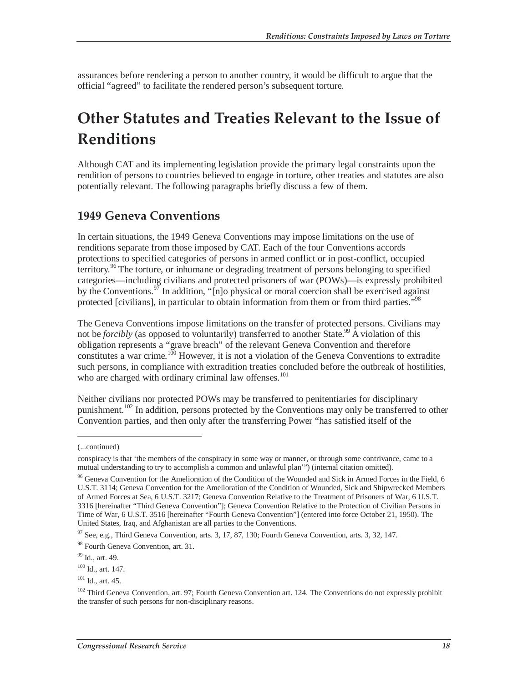assurances before rendering a person to another country, it would be difficult to argue that the official "agreed" to facilitate the rendered person's subsequent torture.

## **Other Statutes and Treaties Relevant to the Issue of Renditions**

Although CAT and its implementing legislation provide the primary legal constraints upon the rendition of persons to countries believed to engage in torture, other treaties and statutes are also potentially relevant. The following paragraphs briefly discuss a few of them.

#### **1949 Geneva Conventions**

In certain situations, the 1949 Geneva Conventions may impose limitations on the use of renditions separate from those imposed by CAT. Each of the four Conventions accords protections to specified categories of persons in armed conflict or in post-conflict, occupied territory.<sup>96</sup> The torture, or inhumane or degrading treatment of persons belonging to specified categories—including civilians and protected prisoners of war (POWs)—is expressly prohibited by the Conventions.<sup>97</sup> In addition, "[n]o physical or moral coercion shall be exercised against protected [civilians], in particular to obtain information from them or from third parties."<sup>98</sup>

The Geneva Conventions impose limitations on the transfer of protected persons. Civilians may not be *forcibly* (as opposed to voluntarily) transferred to another State.<sup>99</sup> A violation of this obligation represents a "grave breach" of the relevant Geneva Convention and therefore constitutes a war crime.<sup>100</sup> However, it is not a violation of the Geneva Conventions to extradite such persons, in compliance with extradition treaties concluded before the outbreak of hostilities, who are charged with ordinary criminal law offenses.<sup>101</sup>

Neither civilians nor protected POWs may be transferred to penitentiaries for disciplinary punishment.<sup>102</sup> In addition, persons protected by the Conventions may only be transferred to other Convention parties, and then only after the transferring Power "has satisfied itself of the

<sup>(...</sup>continued)

conspiracy is that 'the members of the conspiracy in some way or manner, or through some contrivance, came to a mutual understanding to try to accomplish a common and unlawful plan'") (internal citation omitted).

<sup>&</sup>lt;sup>96</sup> Geneva Convention for the Amelioration of the Condition of the Wounded and Sick in Armed Forces in the Field, 6 U.S.T. 3114; Geneva Convention for the Amelioration of the Condition of Wounded, Sick and Shipwrecked Members of Armed Forces at Sea, 6 U.S.T. 3217; Geneva Convention Relative to the Treatment of Prisoners of War, 6 U.S.T. 3316 [hereinafter "Third Geneva Convention"]; Geneva Convention Relative to the Protection of Civilian Persons in Time of War, 6 U.S.T. 3516 [hereinafter "Fourth Geneva Convention"] (entered into force October 21, 1950). The United States, Iraq, and Afghanistan are all parties to the Conventions.

 $97$  See, e.g., Third Geneva Convention, arts. 3, 17, 87, 130; Fourth Geneva Convention, arts. 3, 32, 147.

<sup>98</sup> Fourth Geneva Convention, art. 31.

<sup>99</sup> Id., art. 49.

 $100$  Id., art. 147.

 $101$  Id., art. 45.

<sup>&</sup>lt;sup>102</sup> Third Geneva Convention, art. 97; Fourth Geneva Convention art. 124. The Conventions do not expressly prohibit the transfer of such persons for non-disciplinary reasons.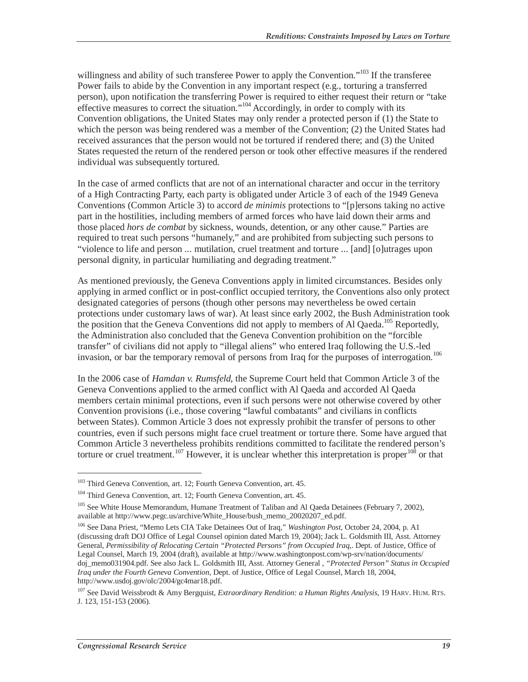willingness and ability of such transferee Power to apply the Convention.<sup>"103</sup> If the transferee Power fails to abide by the Convention in any important respect (e.g., torturing a transferred person), upon notification the transferring Power is required to either request their return or "take effective measures to correct the situation."<sup>104</sup> Accordingly, in order to comply with its Convention obligations, the United States may only render a protected person if (1) the State to which the person was being rendered was a member of the Convention; (2) the United States had received assurances that the person would not be tortured if rendered there; and (3) the United States requested the return of the rendered person or took other effective measures if the rendered individual was subsequently tortured.

In the case of armed conflicts that are not of an international character and occur in the territory of a High Contracting Party, each party is obligated under Article 3 of each of the 1949 Geneva Conventions (Common Article 3) to accord *de minimis* protections to "[p]ersons taking no active part in the hostilities, including members of armed forces who have laid down their arms and those placed *hors de combat* by sickness, wounds, detention, or any other cause." Parties are required to treat such persons "humanely," and are prohibited from subjecting such persons to "violence to life and person ... mutilation, cruel treatment and torture ... [and] [o]utrages upon personal dignity, in particular humiliating and degrading treatment."

As mentioned previously, the Geneva Conventions apply in limited circumstances. Besides only applying in armed conflict or in post-conflict occupied territory, the Conventions also only protect designated categories of persons (though other persons may nevertheless be owed certain protections under customary laws of war). At least since early 2002, the Bush Administration took the position that the Geneva Conventions did not apply to members of Al Qaeda.<sup>105</sup> Reportedly, the Administration also concluded that the Geneva Convention prohibition on the "forcible transfer" of civilians did not apply to "illegal aliens" who entered Iraq following the U.S.-led invasion, or bar the temporary removal of persons from Iraq for the purposes of interrogation.<sup>106</sup>

In the 2006 case of *Hamdan v. Rumsfeld*, the Supreme Court held that Common Article 3 of the Geneva Conventions applied to the armed conflict with Al Qaeda and accorded Al Qaeda members certain minimal protections, even if such persons were not otherwise covered by other Convention provisions (i.e., those covering "lawful combatants" and civilians in conflicts between States). Common Article 3 does not expressly prohibit the transfer of persons to other countries, even if such persons might face cruel treatment or torture there. Some have argued that Common Article 3 nevertheless prohibits renditions committed to facilitate the rendered person's torture or cruel treatment.<sup>107</sup> However, it is unclear whether this interpretation is proper<sup>108</sup> or that

106 See Dana Priest, "Memo Lets CIA Take Detainees Out of Iraq," *Washington Post*, October 24, 2004, p. A1 (discussing draft DOJ Office of Legal Counsel opinion dated March 19, 2004); Jack L. Goldsmith III, Asst. Attorney General, *Permissibility of Relocating Certain "Protected Persons" from Occupied Iraq*,. Dept. of Justice, Office of Legal Counsel, March 19, 2004 (draft), available at http://www.washingtonpost.com/wp-srv/nation/documents/ doj\_memo031904.pdf. See also Jack L. Goldsmith III, Asst. Attorney General , *"Protected Person" Status in Occupied Iraq under the Fourth Geneva Convention*, Dept. of Justice, Office of Legal Counsel, March 18, 2004, http://www.usdoj.gov/olc/2004/gc4mar18.pdf.

<sup>103</sup> Third Geneva Convention, art. 12; Fourth Geneva Convention, art. 45.

<sup>104</sup> Third Geneva Convention, art. 12; Fourth Geneva Convention, art. 45.

<sup>&</sup>lt;sup>105</sup> See White House Memorandum, Humane Treatment of Taliban and Al Qaeda Detainees (February 7, 2002), available at http://www.pegc.us/archive/White\_House/bush\_memo\_20020207\_ed.pdf.

<sup>107</sup> See David Weissbrodt & Amy Bergquist, *Extraordinary Rendition: a Human Rights Analysis*, 19 HARV. HUM. RTS. J. 123, 151-153 (2006).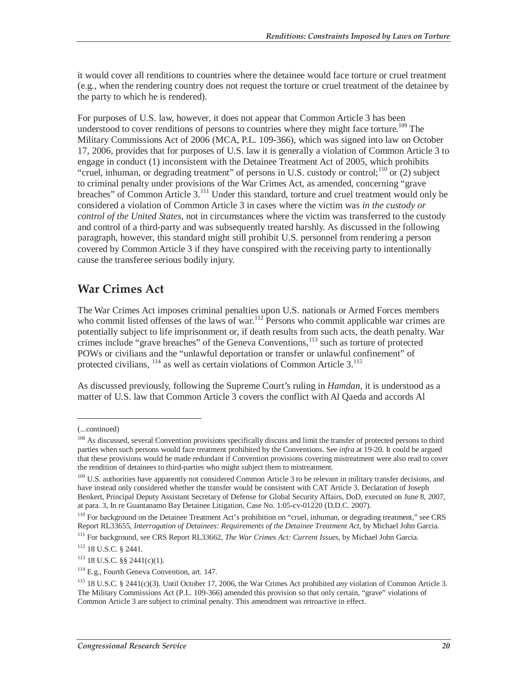it would cover all renditions to countries where the detainee would face torture or cruel treatment (e.g., when the rendering country does not request the torture or cruel treatment of the detainee by the party to which he is rendered).

For purposes of U.S. law, however, it does not appear that Common Article 3 has been understood to cover renditions of persons to countries where they might face torture.<sup>109</sup> The Military Commissions Act of 2006 (MCA, P.L. 109-366), which was signed into law on October 17, 2006, provides that for purposes of U.S. law it is generally a violation of Common Article 3 to engage in conduct (1) inconsistent with the Detainee Treatment Act of 2005, which prohibits "cruel, inhuman, or degrading treatment" of persons in U.S. custody or control;<sup>110</sup> or (2) subject to criminal penalty under provisions of the War Crimes Act, as amended, concerning "grave breaches" of Common Article 3.<sup>111</sup> Under this standard, torture and cruel treatment would only be considered a violation of Common Article 3 in cases where the victim was *in the custody or control of the United States*, not in circumstances where the victim was transferred to the custody and control of a third-party and was subsequently treated harshly. As discussed in the following paragraph, however, this standard might still prohibit U.S. personnel from rendering a person covered by Common Article 3 if they have conspired with the receiving party to intentionally cause the transferee serious bodily injury.

#### **War Crimes Act**

The War Crimes Act imposes criminal penalties upon U.S. nationals or Armed Forces members who commit listed offenses of the laws of war.<sup>112</sup> Persons who commit applicable war crimes are potentially subject to life imprisonment or, if death results from such acts, the death penalty. War crimes include "grave breaches" of the Geneva Conventions,<sup>113</sup> such as torture of protected POWs or civilians and the "unlawful deportation or transfer or unlawful confinement" of protected civilians, <sup>114</sup> as well as certain violations of Common Article 3.<sup>115</sup>

As discussed previously, following the Supreme Court's ruling in *Hamdan*, it is understood as a matter of U.S. law that Common Article 3 covers the conflict with Al Qaeda and accords Al

<sup>(...</sup>continued)

<sup>&</sup>lt;sup>108</sup> As discussed, several Convention provisions specifically discuss and limit the transfer of protected persons to third parties when such persons would face treatment prohibited by the Conventions. See *infra* at 19-20. It could be argued that these provisions would be made redundant if Convention provisions covering mistreatment were also read to cover the rendition of detainees to third-parties who might subject them to mistreatment.

<sup>&</sup>lt;sup>109</sup> U.S. authorities have apparently not considered Common Article 3 to be relevant in military transfer decisions, and have instead only considered whether the transfer would be consistent with CAT Article 3. Declaration of Joseph Benkert, Principal Deputy Assistant Secretary of Defense for Global Security Affairs, DoD, executed on June 8, 2007, at para. 3, In re Guantanamo Bay Detainee Litigation, Case No. 1:05-cv-01220 (D.D.C. 2007).

<sup>110</sup> For background on the Detainee Treatment Act's prohibition on "cruel, inhuman, or degrading treatment," see CRS Report RL33655, *Interrogation of Detainees: Requirements of the Detainee Treatment Act*, by Michael John Garcia.

<sup>111</sup> For background, see CRS Report RL33662, *The War Crimes Act: Current Issues*, by Michael John Garcia.

<sup>112 18</sup> U.S.C. § 2441.

<sup>113 18</sup> U.S.C. §§ 2441(c)(1).

<sup>&</sup>lt;sup>114</sup> E.g., Fourth Geneva Convention, art. 147.

<sup>115 18</sup> U.S.C. § 2441(c)(3). Until October 17, 2006, the War Crimes Act prohibited *any* violation of Common Article 3. The Military Commissions Act (P.L. 109-366) amended this provision so that only certain, "grave" violations of Common Article 3 are subject to criminal penalty. This amendment was retroactive in effect.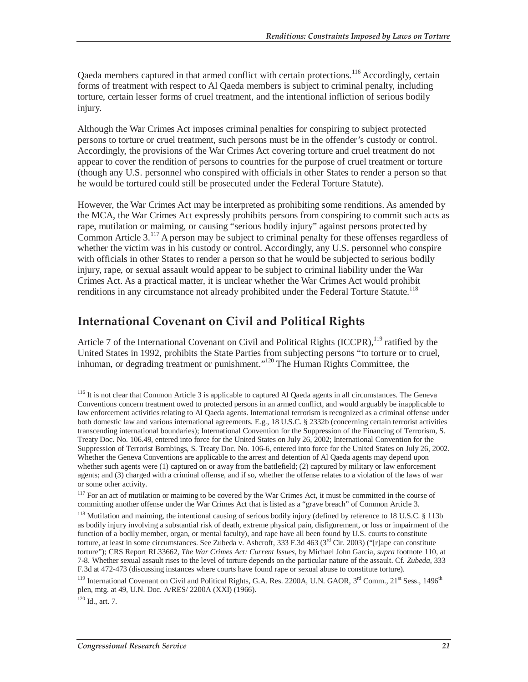Qaeda members captured in that armed conflict with certain protections.<sup>116</sup> Accordingly, certain forms of treatment with respect to Al Qaeda members is subject to criminal penalty, including torture, certain lesser forms of cruel treatment, and the intentional infliction of serious bodily injury.

Although the War Crimes Act imposes criminal penalties for conspiring to subject protected persons to torture or cruel treatment, such persons must be in the offender's custody or control. Accordingly, the provisions of the War Crimes Act covering torture and cruel treatment do not appear to cover the rendition of persons to countries for the purpose of cruel treatment or torture (though any U.S. personnel who conspired with officials in other States to render a person so that he would be tortured could still be prosecuted under the Federal Torture Statute).

However, the War Crimes Act may be interpreted as prohibiting some renditions. As amended by the MCA, the War Crimes Act expressly prohibits persons from conspiring to commit such acts as rape, mutilation or maiming, or causing "serious bodily injury" against persons protected by Common Article 3.117 A person may be subject to criminal penalty for these offenses regardless of whether the victim was in his custody or control. Accordingly, any U.S. personnel who conspire with officials in other States to render a person so that he would be subjected to serious bodily injury, rape, or sexual assault would appear to be subject to criminal liability under the War Crimes Act. As a practical matter, it is unclear whether the War Crimes Act would prohibit renditions in any circumstance not already prohibited under the Federal Torture Statute.<sup>118</sup>

### **International Covenant on Civil and Political Rights**

Article 7 of the International Covenant on Civil and Political Rights  $(ICCPR)$ , <sup>119</sup> ratified by the United States in 1992, prohibits the State Parties from subjecting persons "to torture or to cruel, inhuman, or degrading treatment or punishment."120 The Human Rights Committee, the

 $120$  Id., art. 7.

<sup>&</sup>lt;sup>116</sup> It is not clear that Common Article 3 is applicable to captured Al Qaeda agents in all circumstances. The Geneva Conventions concern treatment owed to protected persons in an armed conflict, and would arguably be inapplicable to law enforcement activities relating to Al Qaeda agents. International terrorism is recognized as a criminal offense under both domestic law and various international agreements. E.g., 18 U.S.C. § 2332b (concerning certain terrorist activities transcending international boundaries); International Convention for the Suppression of the Financing of Terrorism, S. Treaty Doc. No. 106.49, entered into force for the United States on July 26, 2002; International Convention for the Suppression of Terrorist Bombings, S. Treaty Doc. No. 106-6, entered into force for the United States on July 26, 2002. Whether the Geneva Conventions are applicable to the arrest and detention of Al Qaeda agents may depend upon whether such agents were (1) captured on or away from the battlefield; (2) captured by military or law enforcement agents; and (3) charged with a criminal offense, and if so, whether the offense relates to a violation of the laws of war or some other activity.

<sup>&</sup>lt;sup>117</sup> For an act of mutilation or maiming to be covered by the War Crimes Act, it must be committed in the course of committing another offense under the War Crimes Act that is listed as a "grave breach" of Common Article 3.

<sup>&</sup>lt;sup>118</sup> Mutilation and maiming, the intentional causing of serious bodily injury (defined by reference to 18 U.S.C. § 113b as bodily injury involving a substantial risk of death, extreme physical pain, disfigurement, or loss or impairment of the function of a bodily member, organ, or mental faculty), and rape have all been found by U.S. courts to constitute torture, at least in some circumstances. See Zubeda v. Ashcroft, 333 F.3d 463 (3<sup>rd</sup> Cir. 2003) ("[r]ape can constitute torture"); CRS Report RL33662, *The War Crimes Act: Current Issues*, by Michael John Garcia, *supra* footnote 110, at 7-8. Whether sexual assault rises to the level of torture depends on the particular nature of the assault. Cf. *Zubeda*, 333 F.3d at 472-473 (discussing instances where courts have found rape or sexual abuse to constitute torture).

<sup>&</sup>lt;sup>119</sup> International Covenant on Civil and Political Rights, G.A. Res. 2200A, U.N. GAOR,  $3<sup>rd</sup>$  Comm.,  $21<sup>st</sup>$  Sess., 1496<sup>th</sup> plen, mtg. at 49, U.N. Doc. A/RES/ 2200A (XXI) (1966).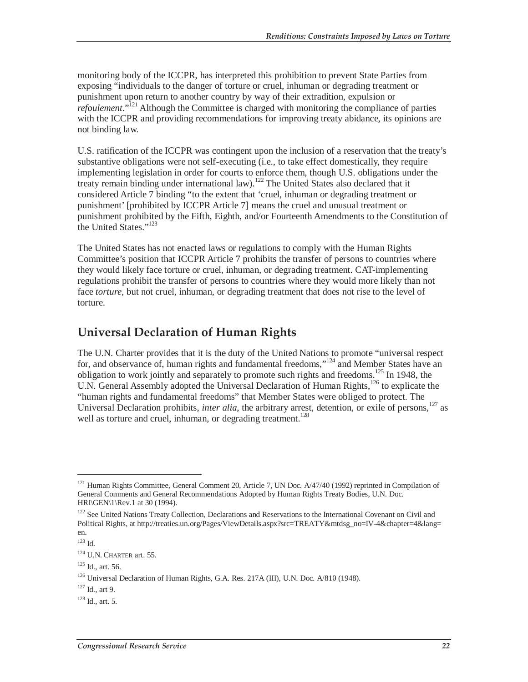monitoring body of the ICCPR, has interpreted this prohibition to prevent State Parties from exposing "individuals to the danger of torture or cruel, inhuman or degrading treatment or punishment upon return to another country by way of their extradition, expulsion or *refoulement*.<sup>"[21</sup>] Although the Committee is charged with monitoring the compliance of parties with the ICCPR and providing recommendations for improving treaty abidance, its opinions are not binding law.

U.S. ratification of the ICCPR was contingent upon the inclusion of a reservation that the treaty's substantive obligations were not self-executing (i.e., to take effect domestically, they require implementing legislation in order for courts to enforce them, though U.S. obligations under the treaty remain binding under international law).<sup>122</sup> The United States also declared that it considered Article 7 binding "to the extent that 'cruel, inhuman or degrading treatment or punishment' [prohibited by ICCPR Article 7] means the cruel and unusual treatment or punishment prohibited by the Fifth, Eighth, and/or Fourteenth Amendments to the Constitution of the United States."<sup>123</sup>

The United States has not enacted laws or regulations to comply with the Human Rights Committee's position that ICCPR Article 7 prohibits the transfer of persons to countries where they would likely face torture or cruel, inhuman, or degrading treatment. CAT-implementing regulations prohibit the transfer of persons to countries where they would more likely than not face *torture*, but not cruel, inhuman, or degrading treatment that does not rise to the level of torture.

### **Universal Declaration of Human Rights**

The U.N. Charter provides that it is the duty of the United Nations to promote "universal respect for, and observance of, human rights and fundamental freedoms,"<sup>124</sup> and Member States have an obligation to work jointly and separately to promote such rights and freedoms.<sup>125</sup> In 1948, the U.N. General Assembly adopted the Universal Declaration of Human Rights,<sup>126</sup> to explicate the "human rights and fundamental freedoms" that Member States were obliged to protect. The Universal Declaration prohibits, *inter alia*, the arbitrary arrest, detention, or exile of persons,<sup>127</sup> as well as torture and cruel, inhuman, or degrading treatment.<sup>128</sup>

<sup>&</sup>lt;sup>121</sup> Human Rights Committee, General Comment 20, Article 7, UN Doc. A/47/40 (1992) reprinted in Compilation of General Comments and General Recommendations Adopted by Human Rights Treaty Bodies, U.N. Doc. HRI\GEN\1\Rev.1 at 30 (1994).

<sup>&</sup>lt;sup>122</sup> See United Nations Treaty Collection, Declarations and Reservations to the International Covenant on Civil and Political Rights, at http://treaties.un.org/Pages/ViewDetails.aspx?src=TREATY&mtdsg\_no=IV-4&chapter=4&lang= en.

<sup>123</sup> Id.

 $^{124}$  U.N. CHARTER art. 55.

 $125$  Id., art. 56.

<sup>126</sup> Universal Declaration of Human Rights, G.A. Res. 217A (III), U.N. Doc. A/810 (1948).

 $127$  Id., art 9.

 $128$  Id., art. 5.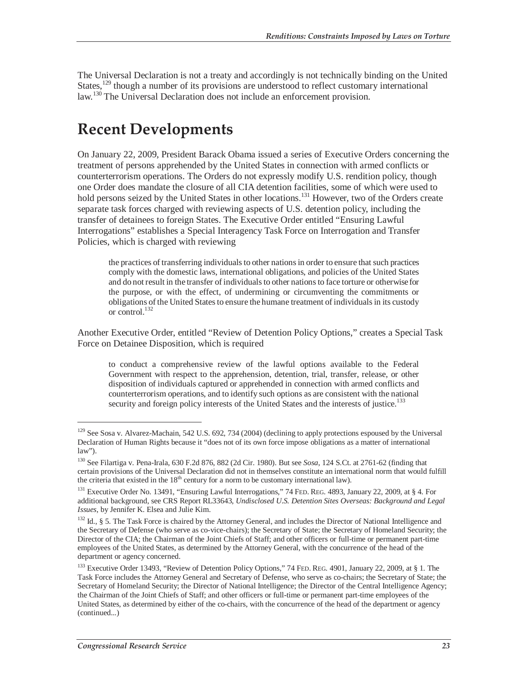The Universal Declaration is not a treaty and accordingly is not technically binding on the United States,<sup>129</sup> though a number of its provisions are understood to reflect customary international law.<sup>130</sup> The Universal Declaration does not include an enforcement provision.

## **Recent Developments**

On January 22, 2009, President Barack Obama issued a series of Executive Orders concerning the treatment of persons apprehended by the United States in connection with armed conflicts or counterterrorism operations. The Orders do not expressly modify U.S. rendition policy, though one Order does mandate the closure of all CIA detention facilities, some of which were used to hold persons seized by the United States in other locations.<sup>131</sup> However, two of the Orders create separate task forces charged with reviewing aspects of U.S. detention policy, including the transfer of detainees to foreign States. The Executive Order entitled "Ensuring Lawful Interrogations" establishes a Special Interagency Task Force on Interrogation and Transfer Policies, which is charged with reviewing

the practices of transferring individuals to other nations in order to ensure that such practices comply with the domestic laws, international obligations, and policies of the United States and do not result in the transfer of individuals to other nations to face torture or otherwise for the purpose, or with the effect, of undermining or circumventing the commitments or obligations of the United States to ensure the humane treatment of individuals in its custody or control.<sup>132</sup>

Another Executive Order, entitled "Review of Detention Policy Options," creates a Special Task Force on Detainee Disposition, which is required

to conduct a comprehensive review of the lawful options available to the Federal Government with respect to the apprehension, detention, trial, transfer, release, or other disposition of individuals captured or apprehended in connection with armed conflicts and counterterrorism operations, and to identify such options as are consistent with the national security and foreign policy interests of the United States and the interests of justice.<sup>133</sup>

<sup>&</sup>lt;sup>129</sup> See Sosa v. Alvarez-Machain, 542 U.S. 692, 734 (2004) (declining to apply protections espoused by the Universal Declaration of Human Rights because it "does not of its own force impose obligations as a matter of international law").

<sup>130</sup> See Filartiga v. Pena-Irala, 630 F.2d 876, 882 (2d Cir. 1980). But see *Sosa*, 124 S.Ct. at 2761-62 (finding that certain provisions of the Universal Declaration did not in themselves constitute an international norm that would fulfill the criteria that existed in the  $18<sup>th</sup>$  century for a norm to be customary international law).

<sup>&</sup>lt;sup>131</sup> Executive Order No. 13491, "Ensuring Lawful Interrogations," 74 FED. REG. 4893, January 22, 2009, at § 4. For additional background, see CRS Report RL33643, *Undisclosed U.S. Detention Sites Overseas: Background and Legal Issues*, by Jennifer K. Elsea and Julie Kim.

<sup>132</sup> Id., § 5. The Task Force is chaired by the Attorney General, and includes the Director of National Intelligence and the Secretary of Defense (who serve as co-vice-chairs); the Secretary of State; the Secretary of Homeland Security; the Director of the CIA; the Chairman of the Joint Chiefs of Staff; and other officers or full-time or permanent part-time employees of the United States, as determined by the Attorney General, with the concurrence of the head of the department or agency concerned.

<sup>&</sup>lt;sup>133</sup> Executive Order 13493, "Review of Detention Policy Options," 74 FED. REG. 4901, January 22, 2009, at § 1. The Task Force includes the Attorney General and Secretary of Defense, who serve as co-chairs; the Secretary of State; the Secretary of Homeland Security; the Director of National Intelligence; the Director of the Central Intelligence Agency; the Chairman of the Joint Chiefs of Staff; and other officers or full-time or permanent part-time employees of the United States, as determined by either of the co-chairs, with the concurrence of the head of the department or agency (continued...)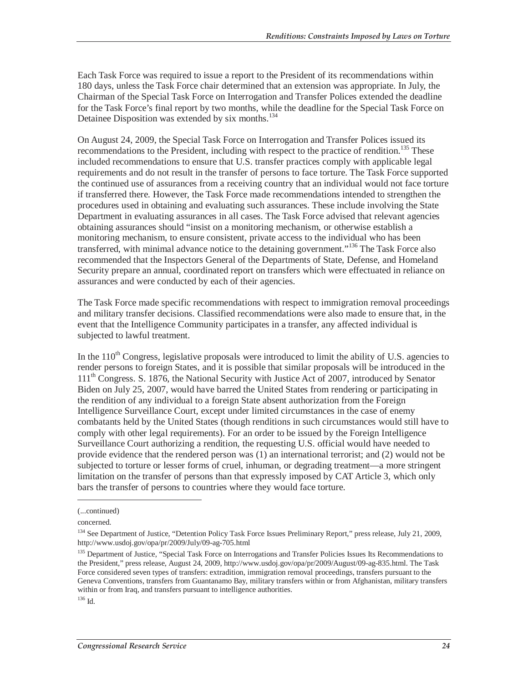Each Task Force was required to issue a report to the President of its recommendations within 180 days, unless the Task Force chair determined that an extension was appropriate. In July, the Chairman of the Special Task Force on Interrogation and Transfer Polices extended the deadline for the Task Force's final report by two months, while the deadline for the Special Task Force on Detainee Disposition was extended by six months.<sup>134</sup>

On August 24, 2009, the Special Task Force on Interrogation and Transfer Polices issued its recommendations to the President, including with respect to the practice of rendition.<sup>135</sup> These included recommendations to ensure that U.S. transfer practices comply with applicable legal requirements and do not result in the transfer of persons to face torture. The Task Force supported the continued use of assurances from a receiving country that an individual would not face torture if transferred there. However, the Task Force made recommendations intended to strengthen the procedures used in obtaining and evaluating such assurances. These include involving the State Department in evaluating assurances in all cases. The Task Force advised that relevant agencies obtaining assurances should "insist on a monitoring mechanism, or otherwise establish a monitoring mechanism, to ensure consistent, private access to the individual who has been transferred, with minimal advance notice to the detaining government."<sup>136</sup> The Task Force also recommended that the Inspectors General of the Departments of State, Defense, and Homeland Security prepare an annual, coordinated report on transfers which were effectuated in reliance on assurances and were conducted by each of their agencies.

The Task Force made specific recommendations with respect to immigration removal proceedings and military transfer decisions. Classified recommendations were also made to ensure that, in the event that the Intelligence Community participates in a transfer, any affected individual is subjected to lawful treatment.

In the  $110<sup>th</sup>$  Congress, legislative proposals were introduced to limit the ability of U.S. agencies to render persons to foreign States, and it is possible that similar proposals will be introduced in the 111<sup>th</sup> Congress. S. 1876, the National Security with Justice Act of 2007, introduced by Senator Biden on July 25, 2007, would have barred the United States from rendering or participating in the rendition of any individual to a foreign State absent authorization from the Foreign Intelligence Surveillance Court, except under limited circumstances in the case of enemy combatants held by the United States (though renditions in such circumstances would still have to comply with other legal requirements). For an order to be issued by the Foreign Intelligence Surveillance Court authorizing a rendition, the requesting U.S. official would have needed to provide evidence that the rendered person was (1) an international terrorist; and (2) would not be subjected to torture or lesser forms of cruel, inhuman, or degrading treatment—a more stringent limitation on the transfer of persons than that expressly imposed by CAT Article 3, which only bars the transfer of persons to countries where they would face torture.

<sup>(...</sup>continued)

concerned.

<sup>&</sup>lt;sup>134</sup> See Department of Justice, "Detention Policy Task Force Issues Preliminary Report," press release, July 21, 2009, http://www.usdoj.gov/opa/pr/2009/July/09-ag-705.html

<sup>&</sup>lt;sup>135</sup> Department of Justice, "Special Task Force on Interrogations and Transfer Policies Issues Its Recommendations to the President," press release, August 24, 2009, http://www.usdoj.gov/opa/pr/2009/August/09-ag-835.html. The Task Force considered seven types of transfers: extradition, immigration removal proceedings, transfers pursuant to the Geneva Conventions, transfers from Guantanamo Bay, military transfers within or from Afghanistan, military transfers within or from Iraq, and transfers pursuant to intelligence authorities.

 $^{136}$  Id.